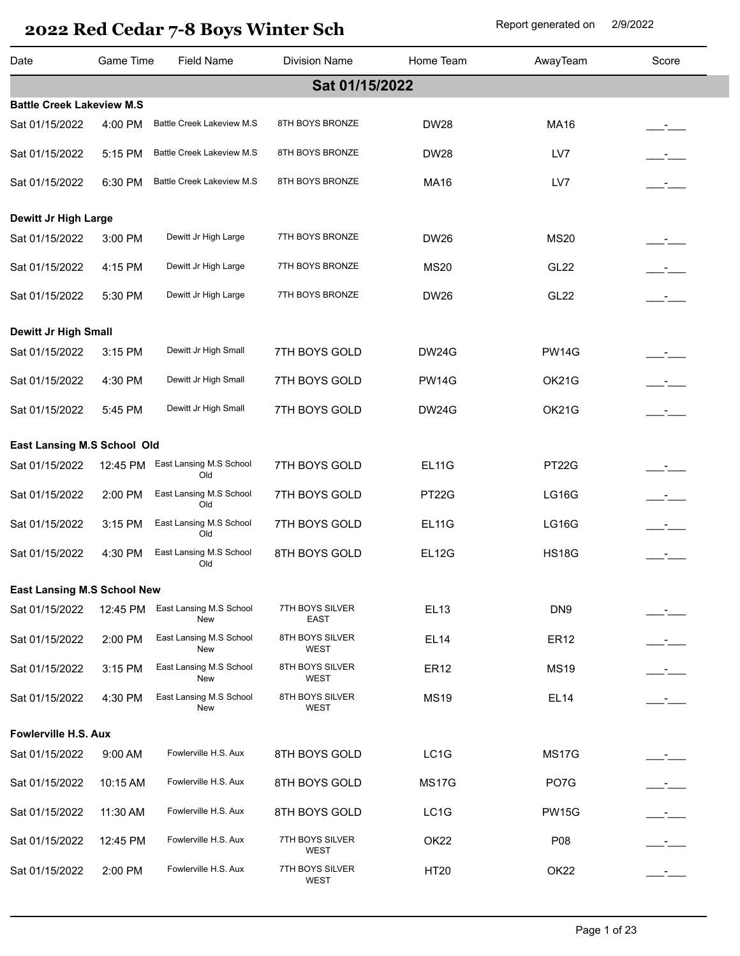| Date                               | <b>Game Time</b> | <b>Field Name</b>                | <b>Division Name</b>           | Home Team        | AwayTeam         | Score |
|------------------------------------|------------------|----------------------------------|--------------------------------|------------------|------------------|-------|
|                                    |                  |                                  | Sat 01/15/2022                 |                  |                  |       |
| <b>Battle Creek Lakeview M.S</b>   |                  |                                  |                                |                  |                  |       |
| Sat 01/15/2022                     | 4:00 PM          | <b>Battle Creek Lakeview M.S</b> | 8TH BOYS BRONZE                | <b>DW28</b>      | <b>MA16</b>      |       |
| Sat 01/15/2022                     | 5:15 PM          | <b>Battle Creek Lakeview M.S</b> | 8TH BOYS BRONZE                | <b>DW28</b>      | LV7              |       |
| Sat 01/15/2022                     | 6:30 PM          | <b>Battle Creek Lakeview M.S</b> | 8TH BOYS BRONZE                | <b>MA16</b>      | LV7              |       |
| Dewitt Jr High Large               |                  |                                  |                                |                  |                  |       |
| Sat 01/15/2022                     | 3:00 PM          | Dewitt Jr High Large             | 7TH BOYS BRONZE                | <b>DW26</b>      | <b>MS20</b>      |       |
| Sat 01/15/2022                     | 4:15 PM          | Dewitt Jr High Large             | 7TH BOYS BRONZE                | <b>MS20</b>      | <b>GL22</b>      |       |
| Sat 01/15/2022                     | 5:30 PM          | Dewitt Jr High Large             | 7TH BOYS BRONZE                | <b>DW26</b>      | <b>GL22</b>      |       |
| <b>Dewitt Jr High Small</b>        |                  |                                  |                                |                  |                  |       |
| Sat 01/15/2022                     | 3:15 PM          | Dewitt Jr High Small             | 7TH BOYS GOLD                  | <b>DW24G</b>     | <b>PW14G</b>     |       |
| Sat 01/15/2022                     | 4:30 PM          | Dewitt Jr High Small             | 7TH BOYS GOLD                  | <b>PW14G</b>     | OK21G            |       |
| Sat 01/15/2022                     | 5:45 PM          | Dewitt Jr High Small             | 7TH BOYS GOLD                  | <b>DW24G</b>     | OK21G            |       |
| East Lansing M.S School Old        |                  |                                  |                                |                  |                  |       |
| Sat 01/15/2022                     | 12:45 PM         | East Lansing M.S School<br>Old   | 7TH BOYS GOLD                  | <b>EL11G</b>     | PT22G            |       |
| Sat 01/15/2022                     | 2:00 PM          | East Lansing M.S School<br>Old   | 7TH BOYS GOLD                  | PT22G            | <b>LG16G</b>     |       |
| Sat 01/15/2022                     | 3:15 PM          | East Lansing M.S School<br>Old   | 7TH BOYS GOLD                  | <b>EL11G</b>     | <b>LG16G</b>     | $ -$  |
| Sat 01/15/2022                     | 4:30 PM          | East Lansing M.S School<br>Old   | 8TH BOYS GOLD                  | <b>EL12G</b>     | <b>HS18G</b>     |       |
| <b>East Lansing M.S School New</b> |                  |                                  |                                |                  |                  |       |
| Sat 01/15/2022                     | 12:45 PM         | East Lansing M.S School<br>New   | 7TH BOYS SILVER<br>EAST        | <b>EL13</b>      | DN <sub>9</sub>  |       |
| Sat 01/15/2022                     | 2:00 PM          | East Lansing M.S School<br>New   | 8TH BOYS SILVER<br>WEST        | <b>EL14</b>      | <b>ER12</b>      |       |
| Sat 01/15/2022                     | 3:15 PM          | East Lansing M.S School<br>New   | 8TH BOYS SILVER<br>WEST        | <b>ER12</b>      | <b>MS19</b>      |       |
| Sat 01/15/2022                     | 4:30 PM          | East Lansing M.S School<br>New   | 8TH BOYS SILVER<br><b>WEST</b> | <b>MS19</b>      | <b>EL14</b>      |       |
| Fowlerville H.S. Aux               |                  |                                  |                                |                  |                  |       |
| Sat 01/15/2022                     | 9:00 AM          | Fowlerville H.S. Aux             | 8TH BOYS GOLD                  | LC1G             | <b>MS17G</b>     |       |
| Sat 01/15/2022                     | 10:15 AM         | Fowlerville H.S. Aux             | 8TH BOYS GOLD                  | <b>MS17G</b>     | PO7G             |       |
| Sat 01/15/2022                     | 11:30 AM         | Fowlerville H.S. Aux             | 8TH BOYS GOLD                  | LC1G             | <b>PW15G</b>     |       |
| Sat 01/15/2022                     | 12:45 PM         | Fowlerville H.S. Aux             | 7TH BOYS SILVER<br>WEST        | OK <sub>22</sub> | P08              |       |
| Sat 01/15/2022                     | 2:00 PM          | Fowlerville H.S. Aux             | 7TH BOYS SILVER<br>WEST        | <b>HT20</b>      | OK <sub>22</sub> |       |
|                                    |                  |                                  |                                |                  |                  |       |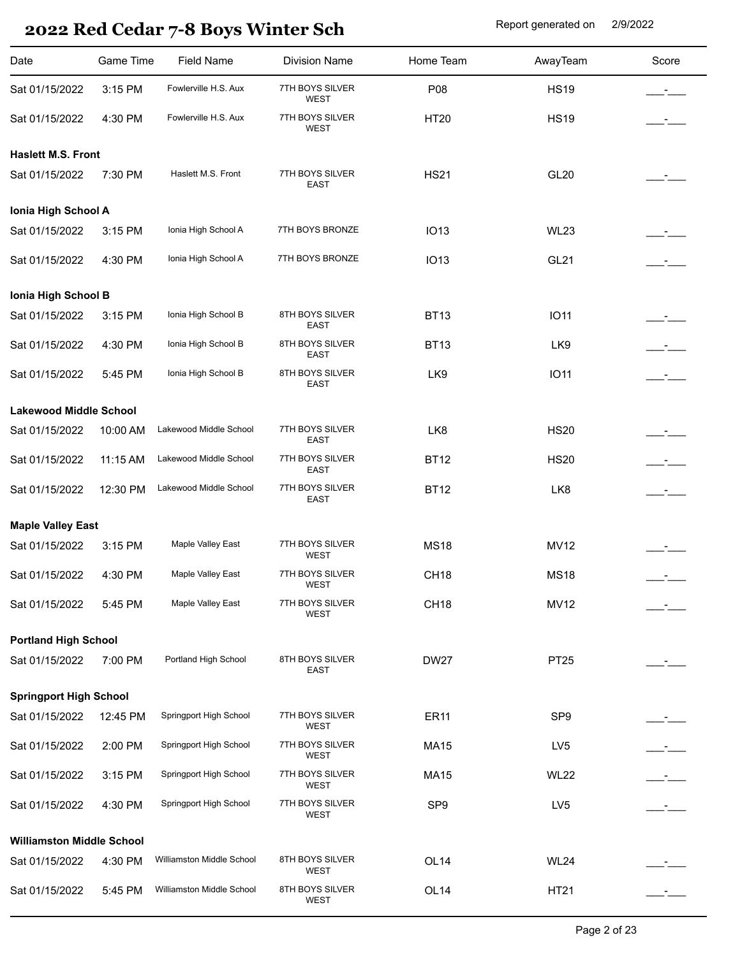| Date                             | Game Time | <b>Field Name</b>         | <b>Division Name</b>           | Home Team        | AwayTeam        | Score         |
|----------------------------------|-----------|---------------------------|--------------------------------|------------------|-----------------|---------------|
| Sat 01/15/2022                   | 3:15 PM   | Fowlerville H.S. Aux      | 7TH BOYS SILVER<br><b>WEST</b> | P08              | <b>HS19</b>     |               |
| Sat 01/15/2022                   | 4:30 PM   | Fowlerville H.S. Aux      | 7TH BOYS SILVER<br><b>WEST</b> | <b>HT20</b>      | <b>HS19</b>     |               |
| <b>Haslett M.S. Front</b>        |           |                           |                                |                  |                 |               |
| Sat 01/15/2022                   | 7:30 PM   | Haslett M.S. Front        | 7TH BOYS SILVER<br>EAST        | <b>HS21</b>      | <b>GL20</b>     |               |
| Ionia High School A              |           |                           |                                |                  |                 |               |
| Sat 01/15/2022                   | 3:15 PM   | Ionia High School A       | 7TH BOYS BRONZE                | <b>IO13</b>      | <b>WL23</b>     |               |
| Sat 01/15/2022                   | 4:30 PM   | Ionia High School A       | 7TH BOYS BRONZE                | <b>IO13</b>      | <b>GL21</b>     |               |
| Ionia High School B              |           |                           |                                |                  |                 |               |
| Sat 01/15/2022                   | 3:15 PM   | Ionia High School B       | 8TH BOYS SILVER<br>EAST        | <b>BT13</b>      | <b>IO11</b>     |               |
| Sat 01/15/2022                   | 4:30 PM   | Ionia High School B       | 8TH BOYS SILVER<br><b>EAST</b> | <b>BT13</b>      | LK9             |               |
| Sat 01/15/2022                   | 5:45 PM   | Ionia High School B       | 8TH BOYS SILVER<br><b>EAST</b> | LK9              | <b>IO11</b>     | $\mathcal{L}$ |
| <b>Lakewood Middle School</b>    |           |                           |                                |                  |                 |               |
| Sat 01/15/2022                   | 10:00 AM  | Lakewood Middle School    | 7TH BOYS SILVER<br><b>EAST</b> | LK8              | <b>HS20</b>     |               |
| Sat 01/15/2022                   | 11:15 AM  | Lakewood Middle School    | 7TH BOYS SILVER<br><b>EAST</b> | <b>BT12</b>      | <b>HS20</b>     | $ -$          |
| Sat 01/15/2022                   | 12:30 PM  | Lakewood Middle School    | 7TH BOYS SILVER<br><b>EAST</b> | <b>BT12</b>      | LK8             | $ -$          |
| <b>Maple Valley East</b>         |           |                           |                                |                  |                 |               |
| Sat 01/15/2022                   | 3:15 PM   | Maple Valley East         | 7TH BOYS SILVER<br><b>WEST</b> | <b>MS18</b>      | <b>MV12</b>     |               |
| Sat 01/15/2022                   | 4:30 PM   | Maple Valley East         | 7TH BOYS SILVER<br>WEST        | CH <sub>18</sub> | <b>MS18</b>     |               |
| Sat 01/15/2022                   | 5:45 PM   | Maple Valley East         | 7TH BOYS SILVER<br><b>WEST</b> | CH <sub>18</sub> | <b>MV12</b>     |               |
| <b>Portland High School</b>      |           |                           |                                |                  |                 |               |
| Sat 01/15/2022                   | 7:00 PM   | Portland High School      | 8TH BOYS SILVER<br>EAST        | <b>DW27</b>      | PT25            |               |
| <b>Springport High School</b>    |           |                           |                                |                  |                 |               |
| Sat 01/15/2022                   | 12:45 PM  | Springport High School    | 7TH BOYS SILVER<br>WEST        | <b>ER11</b>      | SP <sub>9</sub> |               |
| Sat 01/15/2022                   | 2:00 PM   | Springport High School    | 7TH BOYS SILVER<br><b>WEST</b> | <b>MA15</b>      | LV <sub>5</sub> | $ -$          |
| Sat 01/15/2022                   | 3:15 PM   | Springport High School    | 7TH BOYS SILVER<br>WEST        | <b>MA15</b>      | <b>WL22</b>     | $ -$          |
| Sat 01/15/2022                   | 4:30 PM   | Springport High School    | 7TH BOYS SILVER<br>WEST        | SP <sub>9</sub>  | LV <sub>5</sub> |               |
| <b>Williamston Middle School</b> |           |                           |                                |                  |                 |               |
| Sat 01/15/2022                   | 4:30 PM   | Williamston Middle School | 8TH BOYS SILVER<br>WEST        | OL <sub>14</sub> | <b>WL24</b>     |               |
| Sat 01/15/2022                   | 5:45 PM   | Williamston Middle School | 8TH BOYS SILVER<br>WEST        | OL <sub>14</sub> | HT21            |               |
|                                  |           |                           |                                |                  |                 |               |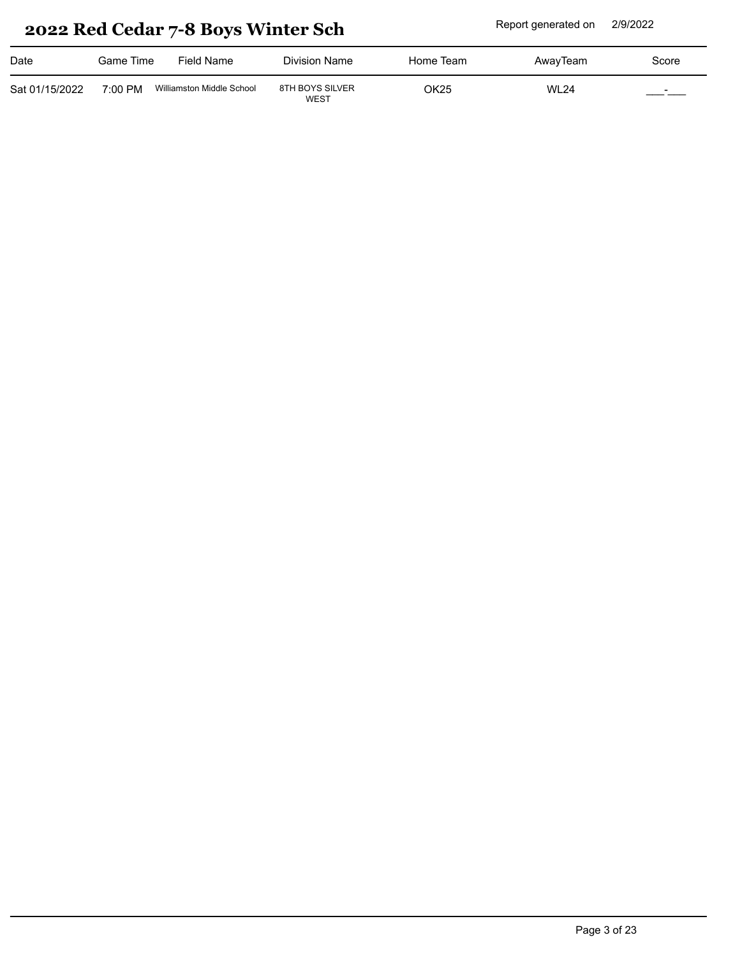| Date           | Game Time | Field Name                | Division Name                  | Home Team | AwayTeam    | Score                            |
|----------------|-----------|---------------------------|--------------------------------|-----------|-------------|----------------------------------|
| Sat 01/15/2022 | 7:00 PM   | Williamston Middle School | 8TH BOYS SILVER<br><b>WEST</b> | OK25      | <b>WL24</b> | $\overline{\phantom{0}}$<br>____ |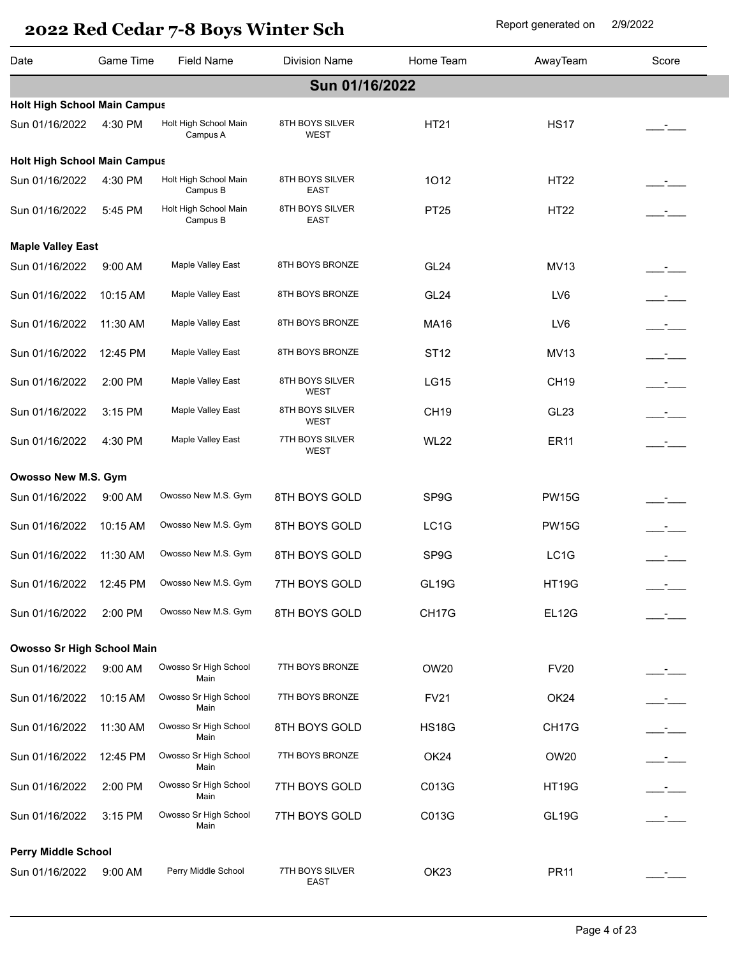| Date                                | Game Time | Field Name                        | <b>Division Name</b>           | Home Team        | AwayTeam          | Score         |  |  |  |
|-------------------------------------|-----------|-----------------------------------|--------------------------------|------------------|-------------------|---------------|--|--|--|
| Sun 01/16/2022                      |           |                                   |                                |                  |                   |               |  |  |  |
| <b>Holt High School Main Campus</b> |           |                                   |                                |                  |                   |               |  |  |  |
| Sun 01/16/2022                      | 4:30 PM   | Holt High School Main<br>Campus A | 8TH BOYS SILVER<br><b>WEST</b> | HT21             | <b>HS17</b>       |               |  |  |  |
| <b>Holt High School Main Campus</b> |           |                                   |                                |                  |                   |               |  |  |  |
| Sun 01/16/2022                      | 4:30 PM   | Holt High School Main<br>Campus B | 8TH BOYS SILVER<br>EAST        | 1012             | <b>HT22</b>       |               |  |  |  |
| Sun 01/16/2022                      | 5:45 PM   | Holt High School Main<br>Campus B | 8TH BOYS SILVER<br><b>EAST</b> | PT25             | <b>HT22</b>       | $\mathcal{L}$ |  |  |  |
| <b>Maple Valley East</b>            |           |                                   |                                |                  |                   |               |  |  |  |
| Sun 01/16/2022                      | 9:00 AM   | <b>Maple Valley East</b>          | 8TH BOYS BRONZE                | GL <sub>24</sub> | <b>MV13</b>       |               |  |  |  |
| Sun 01/16/2022                      | 10:15 AM  | <b>Maple Valley East</b>          | 8TH BOYS BRONZE                | GL <sub>24</sub> | LV6               | $ -$          |  |  |  |
| Sun 01/16/2022                      | 11:30 AM  | Maple Valley East                 | 8TH BOYS BRONZE                | <b>MA16</b>      | LV6               | $\mathcal{L}$ |  |  |  |
| Sun 01/16/2022                      | 12:45 PM  | <b>Maple Valley East</b>          | 8TH BOYS BRONZE                | ST <sub>12</sub> | <b>MV13</b>       | $\mathcal{L}$ |  |  |  |
| Sun 01/16/2022                      | 2:00 PM   | Maple Valley East                 | 8TH BOYS SILVER<br><b>WEST</b> | <b>LG15</b>      | <b>CH19</b>       | $ -$          |  |  |  |
| Sun 01/16/2022                      | 3:15 PM   | Maple Valley East                 | 8TH BOYS SILVER<br><b>WEST</b> | <b>CH19</b>      | GL23              | $\mathcal{L}$ |  |  |  |
| Sun 01/16/2022                      | 4:30 PM   | <b>Maple Valley East</b>          | 7TH BOYS SILVER<br><b>WEST</b> | <b>WL22</b>      | <b>ER11</b>       | $ -$          |  |  |  |
| Owosso New M.S. Gym                 |           |                                   |                                |                  |                   |               |  |  |  |
| Sun 01/16/2022                      | 9:00 AM   | Owosso New M.S. Gym               | 8TH BOYS GOLD                  | SP9G             | <b>PW15G</b>      |               |  |  |  |
| Sun 01/16/2022                      | 10:15 AM  | Owosso New M.S. Gym               | 8TH BOYS GOLD                  | LC1G             | <b>PW15G</b>      |               |  |  |  |
| Sun 01/16/2022                      | 11:30 AM  | Owosso New M.S. Gym               | 8TH BOYS GOLD                  | SP9G             | LC <sub>1</sub> G |               |  |  |  |
| Sun 01/16/2022 12:45 PM             |           | Owosso New M.S. Gym               | 7TH BOYS GOLD                  | <b>GL19G</b>     | <b>HT19G</b>      |               |  |  |  |
| Sun 01/16/2022                      | 2:00 PM   | Owosso New M.S. Gym               | 8TH BOYS GOLD                  | CH17G            | EL12G             |               |  |  |  |
| <b>Owosso Sr High School Main</b>   |           |                                   |                                |                  |                   |               |  |  |  |
| Sun 01/16/2022                      | $9:00$ AM | Owosso Sr High School<br>Main     | 7TH BOYS BRONZE                | OW20             | <b>FV20</b>       |               |  |  |  |
| Sun 01/16/2022                      | 10:15 AM  | Owosso Sr High School<br>Main     | 7TH BOYS BRONZE                | <b>FV21</b>      | OK24              |               |  |  |  |
| Sun 01/16/2022                      | 11:30 AM  | Owosso Sr High School<br>Main     | 8TH BOYS GOLD                  | <b>HS18G</b>     | CH17G             |               |  |  |  |
| Sun 01/16/2022                      | 12:45 PM  | Owosso Sr High School<br>Main     | 7TH BOYS BRONZE                | OK <sub>24</sub> | OW20              |               |  |  |  |
| Sun 01/16/2022                      | 2:00 PM   | Owosso Sr High School<br>Main     | 7TH BOYS GOLD                  | C013G            | <b>HT19G</b>      |               |  |  |  |
| Sun 01/16/2022                      | 3:15 PM   | Owosso Sr High School<br>Main     | 7TH BOYS GOLD                  | C013G            | GL19G             |               |  |  |  |
| <b>Perry Middle School</b>          |           |                                   |                                |                  |                   |               |  |  |  |
| Sun 01/16/2022                      | 9:00 AM   | Perry Middle School               | 7TH BOYS SILVER<br>EAST        | OK <sub>23</sub> | <b>PR11</b>       |               |  |  |  |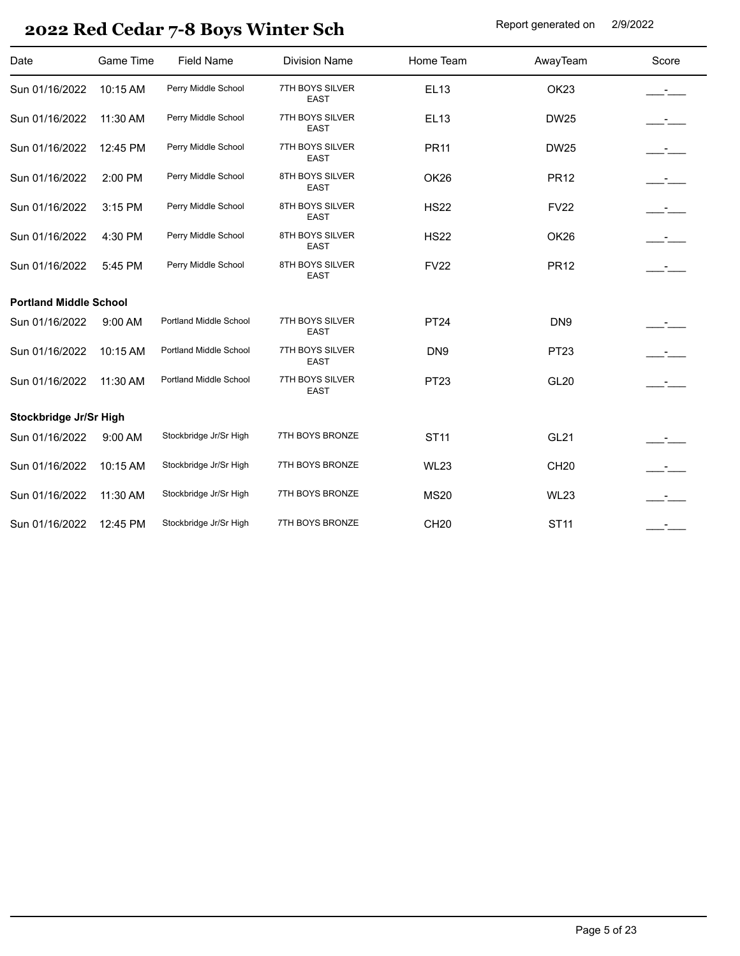| Date                          | <b>Game Time</b> | <b>Field Name</b>      | <b>Division Name</b>           | Home Team       | AwayTeam         | Score         |
|-------------------------------|------------------|------------------------|--------------------------------|-----------------|------------------|---------------|
| Sun 01/16/2022                | 10:15 AM         | Perry Middle School    | 7TH BOYS SILVER<br><b>EAST</b> | <b>EL13</b>     | OK <sub>23</sub> |               |
| Sun 01/16/2022                | 11:30 AM         | Perry Middle School    | 7TH BOYS SILVER<br><b>EAST</b> | EL13            | <b>DW25</b>      |               |
| Sun 01/16/2022                | 12:45 PM         | Perry Middle School    | 7TH BOYS SILVER<br><b>EAST</b> | <b>PR11</b>     | <b>DW25</b>      | $ -$          |
| Sun 01/16/2022                | 2:00 PM          | Perry Middle School    | 8TH BOYS SILVER<br><b>EAST</b> | OK26            | <b>PR12</b>      | $-1$          |
| Sun 01/16/2022                | 3:15 PM          | Perry Middle School    | 8TH BOYS SILVER<br><b>EAST</b> | <b>HS22</b>     | <b>FV22</b>      | $ -$          |
| Sun 01/16/2022                | 4:30 PM          | Perry Middle School    | 8TH BOYS SILVER<br><b>EAST</b> | <b>HS22</b>     | OK26             | $ -$          |
| Sun 01/16/2022                | 5:45 PM          | Perry Middle School    | 8TH BOYS SILVER<br><b>EAST</b> | <b>FV22</b>     | <b>PR12</b>      |               |
| <b>Portland Middle School</b> |                  |                        |                                |                 |                  |               |
| Sun 01/16/2022                | 9:00 AM          | Portland Middle School | 7TH BOYS SILVER<br><b>EAST</b> | <b>PT24</b>     | DN9              |               |
| Sun 01/16/2022                | 10:15 AM         | Portland Middle School | 7TH BOYS SILVER<br><b>EAST</b> | DN <sub>9</sub> | PT <sub>23</sub> |               |
| Sun 01/16/2022                | 11:30 AM         | Portland Middle School | 7TH BOYS SILVER<br><b>EAST</b> | <b>PT23</b>     | <b>GL20</b>      |               |
| Stockbridge Jr/Sr High        |                  |                        |                                |                 |                  |               |
| Sun 01/16/2022                | 9:00 AM          | Stockbridge Jr/Sr High | 7TH BOYS BRONZE                | <b>ST11</b>     | <b>GL21</b>      |               |
| Sun 01/16/2022                | 10:15 AM         | Stockbridge Jr/Sr High | 7TH BOYS BRONZE                | <b>WL23</b>     | <b>CH20</b>      | $\mathcal{L}$ |
| Sun 01/16/2022                | 11:30 AM         | Stockbridge Jr/Sr High | 7TH BOYS BRONZE                | <b>MS20</b>     | <b>WL23</b>      |               |
| Sun 01/16/2022                | 12:45 PM         | Stockbridge Jr/Sr High | 7TH BOYS BRONZE                | <b>CH20</b>     | <b>ST11</b>      |               |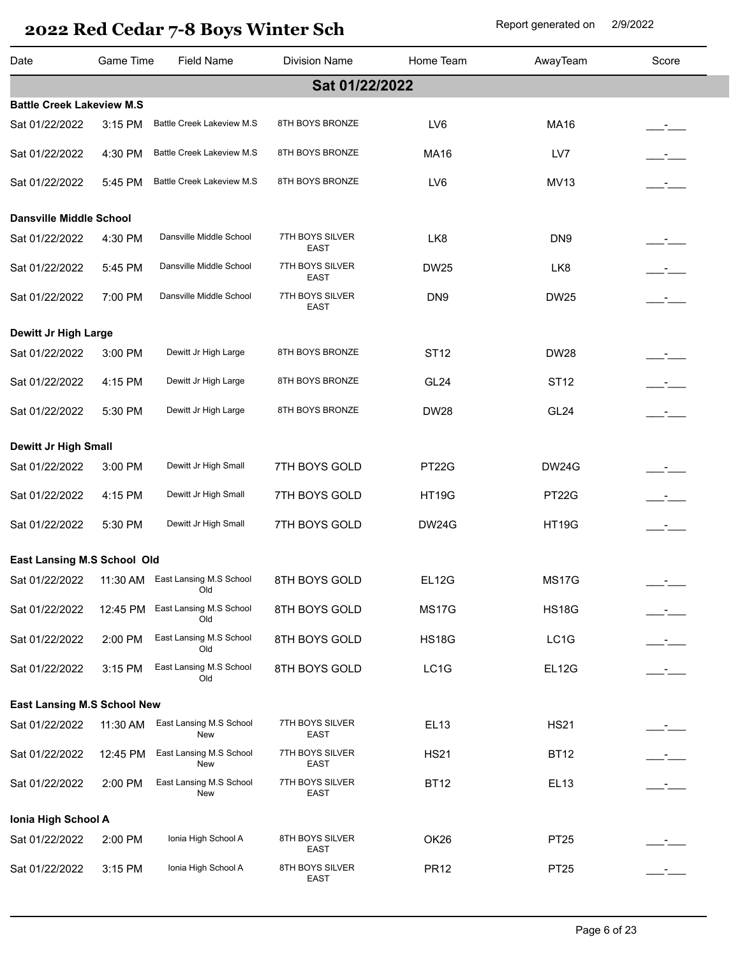| Date                             | Game Time | <b>Field Name</b>                                      | <b>Division Name</b>           | Home Team          | AwayTeam         | Score                |
|----------------------------------|-----------|--------------------------------------------------------|--------------------------------|--------------------|------------------|----------------------|
|                                  |           |                                                        | Sat 01/22/2022                 |                    |                  |                      |
| <b>Battle Creek Lakeview M.S</b> |           |                                                        |                                |                    |                  |                      |
| Sat 01/22/2022                   | 3:15 PM   | <b>Battle Creek Lakeview M.S</b>                       | 8TH BOYS BRONZE                | LV6                | <b>MA16</b>      |                      |
| Sat 01/22/2022                   | 4:30 PM   | <b>Battle Creek Lakeview M.S</b>                       | 8TH BOYS BRONZE                | <b>MA16</b>        | LV7              |                      |
| Sat 01/22/2022                   | 5:45 PM   | <b>Battle Creek Lakeview M.S</b>                       | 8TH BOYS BRONZE                | LV6                | <b>MV13</b>      |                      |
| <b>Dansville Middle School</b>   |           |                                                        |                                |                    |                  |                      |
| Sat 01/22/2022                   | 4:30 PM   | Dansville Middle School                                | 7TH BOYS SILVER<br>EAST        | LK8                | DN <sub>9</sub>  | __ <del>_</del> ____ |
| Sat 01/22/2022                   | 5:45 PM   | Dansville Middle School                                | 7TH BOYS SILVER<br><b>EAST</b> | <b>DW25</b>        | LK8              | $ -$                 |
| Sat 01/22/2022                   | 7:00 PM   | Dansville Middle School                                | 7TH BOYS SILVER<br><b>EAST</b> | DN <sub>9</sub>    | <b>DW25</b>      |                      |
| Dewitt Jr High Large             |           |                                                        |                                |                    |                  |                      |
| Sat 01/22/2022                   | 3:00 PM   | Dewitt Jr High Large                                   | 8TH BOYS BRONZE                | <b>ST12</b>        | <b>DW28</b>      | <u>_-</u> __         |
| Sat 01/22/2022                   | 4:15 PM   | Dewitt Jr High Large                                   | 8TH BOYS BRONZE                | GL <sub>24</sub>   | <b>ST12</b>      | $\mathcal{L}$        |
| Sat 01/22/2022                   | 5:30 PM   | Dewitt Jr High Large                                   | 8TH BOYS BRONZE                | <b>DW28</b>        | GL <sub>24</sub> | $\mathcal{L}$        |
| <b>Dewitt Jr High Small</b>      |           |                                                        |                                |                    |                  |                      |
| Sat 01/22/2022                   | 3:00 PM   | Dewitt Jr High Small                                   | 7TH BOYS GOLD                  | PT <sub>22</sub> G | <b>DW24G</b>     |                      |
| Sat 01/22/2022                   | 4:15 PM   | Dewitt Jr High Small                                   | 7TH BOYS GOLD                  | <b>HT19G</b>       | PT22G            | $\mathcal{L}$        |
| Sat 01/22/2022                   | 5:30 PM   | Dewitt Jr High Small                                   | 7TH BOYS GOLD                  | <b>DW24G</b>       | <b>HT19G</b>     | $ -$                 |
| East Lansing M.S School Old      |           |                                                        |                                |                    |                  |                      |
|                                  |           | Sat 01/22/2022 11:30 AM East Lansing M.S School<br>Old | 8TH BOYS GOLD                  | EL12G              | MS17G            |                      |
| Sat 01/22/2022                   | 12:45 PM  | East Lansing M.S School<br>Old                         | 8TH BOYS GOLD                  | <b>MS17G</b>       | <b>HS18G</b>     |                      |
| Sat 01/22/2022                   | 2:00 PM   | East Lansing M.S School<br>Old                         | 8TH BOYS GOLD                  | <b>HS18G</b>       | LC1G             |                      |
| Sat 01/22/2022                   | 3:15 PM   | East Lansing M.S School<br>Old                         | 8TH BOYS GOLD                  | LC1G               | <b>EL12G</b>     |                      |
| East Lansing M.S School New      |           |                                                        |                                |                    |                  |                      |
| Sat 01/22/2022                   | 11:30 AM  | East Lansing M.S School<br>New                         | 7TH BOYS SILVER<br>EAST        | <b>EL13</b>        | <b>HS21</b>      |                      |
| Sat 01/22/2022                   | 12:45 PM  | East Lansing M.S School<br>New                         | 7TH BOYS SILVER<br>EAST        | <b>HS21</b>        | <b>BT12</b>      |                      |
| Sat 01/22/2022                   | 2:00 PM   | East Lansing M.S School<br>New                         | 7TH BOYS SILVER<br>EAST        | <b>BT12</b>        | <b>EL13</b>      |                      |
| Ionia High School A              |           |                                                        |                                |                    |                  |                      |
| Sat 01/22/2022                   | 2:00 PM   | Ionia High School A                                    | 8TH BOYS SILVER<br>EAST        | OK26               | <b>PT25</b>      |                      |
| Sat 01/22/2022                   | 3:15 PM   | Ionia High School A                                    | 8TH BOYS SILVER<br>EAST        | <b>PR12</b>        | PT <sub>25</sub> |                      |
|                                  |           |                                                        |                                |                    |                  |                      |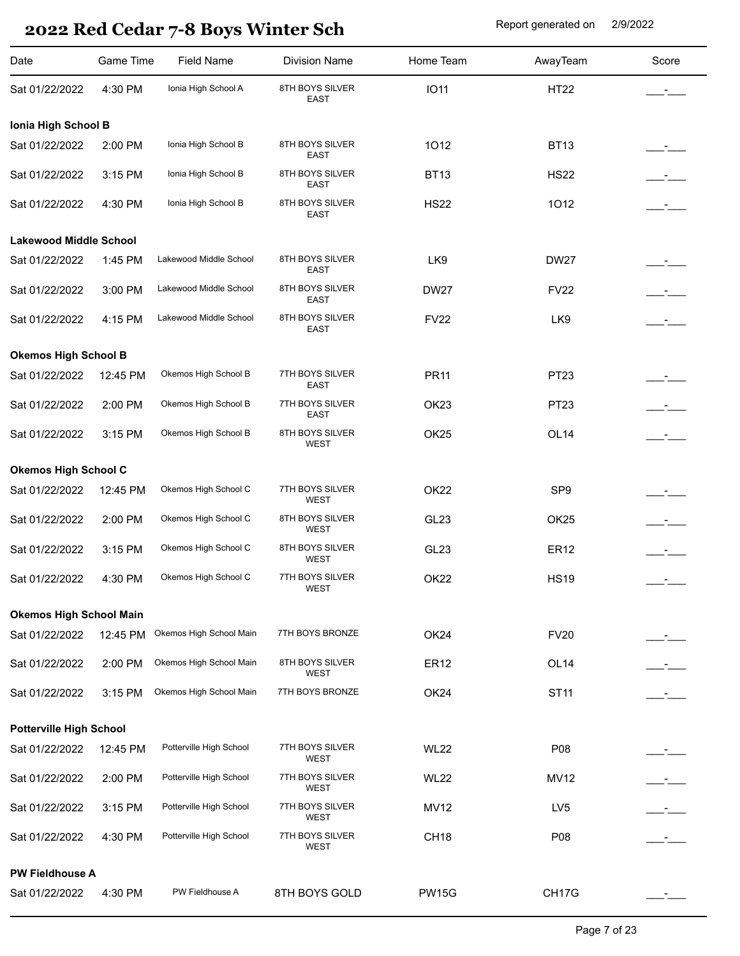| Date                           | Game Time | <b>Field Name</b>       | <b>Division Name</b>           | Home Team        | AwayTeam         | Score                |
|--------------------------------|-----------|-------------------------|--------------------------------|------------------|------------------|----------------------|
| Sat 01/22/2022                 | 4:30 PM   | Ionia High School A     | 8TH BOYS SILVER<br><b>EAST</b> | <b>IO11</b>      | <b>HT22</b>      |                      |
| Ionia High School B            |           |                         |                                |                  |                  |                      |
| Sat 01/22/2022                 | 2:00 PM   | Ionia High School B     | 8TH BOYS SILVER<br><b>EAST</b> | 1012             | <b>BT13</b>      | __ <del>_</del> ____ |
| Sat 01/22/2022                 | 3:15 PM   | Ionia High School B     | 8TH BOYS SILVER<br><b>EAST</b> | <b>BT13</b>      | <b>HS22</b>      | $ -$                 |
| Sat 01/22/2022                 | 4:30 PM   | Ionia High School B     | 8TH BOYS SILVER<br><b>EAST</b> | <b>HS22</b>      | 1012             | $\sim 10^{-10}$      |
| <b>Lakewood Middle School</b>  |           |                         |                                |                  |                  |                      |
| Sat 01/22/2022                 | 1:45 PM   | Lakewood Middle School  | 8TH BOYS SILVER<br><b>EAST</b> | LK9              | <b>DW27</b>      |                      |
| Sat 01/22/2022                 | 3:00 PM   | Lakewood Middle School  | 8TH BOYS SILVER<br><b>EAST</b> | <b>DW27</b>      | <b>FV22</b>      | $ -$                 |
| Sat 01/22/2022                 | 4:15 PM   | Lakewood Middle School  | 8TH BOYS SILVER<br>EAST        | <b>FV22</b>      | LK9              | $\mathcal{L}$        |
| <b>Okemos High School B</b>    |           |                         |                                |                  |                  |                      |
| Sat 01/22/2022                 | 12:45 PM  | Okemos High School B    | 7TH BOYS SILVER<br><b>EAST</b> | <b>PR11</b>      | PT23             |                      |
| Sat 01/22/2022                 | 2:00 PM   | Okemos High School B    | 7TH BOYS SILVER<br><b>EAST</b> | OK <sub>23</sub> | PT23             |                      |
| Sat 01/22/2022                 | 3:15 PM   | Okemos High School B    | 8TH BOYS SILVER<br>WEST        | OK <sub>25</sub> | OL <sub>14</sub> | $\mathcal{L}$        |
| <b>Okemos High School C</b>    |           |                         |                                |                  |                  |                      |
| Sat 01/22/2022                 | 12:45 PM  | Okemos High School C    | 7TH BOYS SILVER<br>WEST        | OK <sub>22</sub> | SP <sub>9</sub>  |                      |
| Sat 01/22/2022                 | 2:00 PM   | Okemos High School C    | 8TH BOYS SILVER<br>WEST        | GL <sub>23</sub> | OK <sub>25</sub> |                      |
| Sat 01/22/2022                 | 3:15 PM   | Okemos High School C    | 8TH BOYS SILVER<br><b>WEST</b> | GL <sub>23</sub> | <b>ER12</b>      |                      |
| Sat 01/22/2022                 | 4:30 PM   | Okemos High School C    | 7TH BOYS SILVER<br>WEST        | OK <sub>22</sub> | <b>HS19</b>      |                      |
| <b>Okemos High School Main</b> |           |                         |                                |                  |                  |                      |
| Sat 01/22/2022                 | 12:45 PM  | Okemos High School Main | 7TH BOYS BRONZE                | OK24             | <b>FV20</b>      |                      |
| Sat 01/22/2022                 | 2:00 PM   | Okemos High School Main | 8TH BOYS SILVER<br>WEST        | <b>ER12</b>      | OL <sub>14</sub> | $ -$                 |
| Sat 01/22/2022                 | 3:15 PM   | Okemos High School Main | 7TH BOYS BRONZE                | OK24             | <b>ST11</b>      |                      |
| <b>Potterville High School</b> |           |                         |                                |                  |                  |                      |
| Sat 01/22/2022                 | 12:45 PM  | Potterville High School | 7TH BOYS SILVER<br>WEST        | <b>WL22</b>      | P08              |                      |
| Sat 01/22/2022                 | 2:00 PM   | Potterville High School | 7TH BOYS SILVER<br>WEST        | <b>WL22</b>      | <b>MV12</b>      | $\equiv$ $\equiv$    |
| Sat 01/22/2022                 | 3:15 PM   | Potterville High School | 7TH BOYS SILVER<br>WEST        | <b>MV12</b>      | LV <sub>5</sub>  | $\equiv$ $\equiv$    |
| Sat 01/22/2022                 | 4:30 PM   | Potterville High School | 7TH BOYS SILVER<br>WEST        | CH <sub>18</sub> | P08              |                      |
| <b>PW Fieldhouse A</b>         |           |                         |                                |                  |                  |                      |
| Sat 01/22/2022                 | 4:30 PM   | PW Fieldhouse A         | 8TH BOYS GOLD                  | <b>PW15G</b>     | CH17G            |                      |
|                                |           |                         |                                |                  |                  |                      |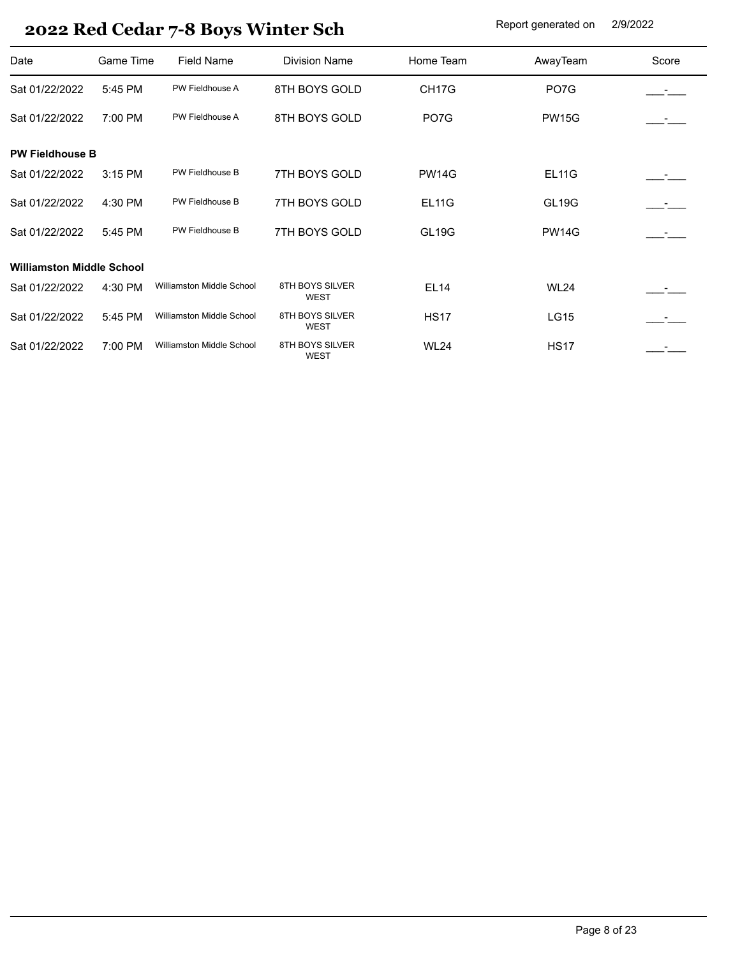| Date                             | Game Time | <b>Field Name</b>                | <b>Division Name</b>           | Home Team          | AwayTeam     | Score                    |
|----------------------------------|-----------|----------------------------------|--------------------------------|--------------------|--------------|--------------------------|
| Sat 01/22/2022                   | 5:45 PM   | PW Fieldhouse A                  | 8TH BOYS GOLD                  | CH <sub>17</sub> G | PO7G         |                          |
| Sat 01/22/2022                   | 7:00 PM   | PW Fieldhouse A                  | 8TH BOYS GOLD                  | PO <sub>7</sub> G  | <b>PW15G</b> | <b>Contract Contract</b> |
| <b>PW Fieldhouse B</b>           |           |                                  |                                |                    |              |                          |
| Sat 01/22/2022                   | 3:15 PM   | PW Fieldhouse B                  | 7TH BOYS GOLD                  | <b>PW14G</b>       | <b>EL11G</b> |                          |
| Sat 01/22/2022                   | 4:30 PM   | PW Fieldhouse B                  | 7TH BOYS GOLD                  | EL11G              | <b>GL19G</b> |                          |
| Sat 01/22/2022                   | 5:45 PM   | PW Fieldhouse B                  | 7TH BOYS GOLD                  | GL <sub>19G</sub>  | <b>PW14G</b> |                          |
| <b>Williamston Middle School</b> |           |                                  |                                |                    |              |                          |
| Sat 01/22/2022                   | 4:30 PM   | Williamston Middle School        | 8TH BOYS SILVER<br><b>WEST</b> | <b>EL14</b>        | <b>WL24</b>  |                          |
| Sat 01/22/2022                   | 5:45 PM   | <b>Williamston Middle School</b> | 8TH BOYS SILVER<br><b>WEST</b> | <b>HS17</b>        | <b>LG15</b>  |                          |
| Sat 01/22/2022                   | 7:00 PM   | Williamston Middle School        | 8TH BOYS SILVER<br><b>WEST</b> | <b>WL24</b>        | <b>HS17</b>  |                          |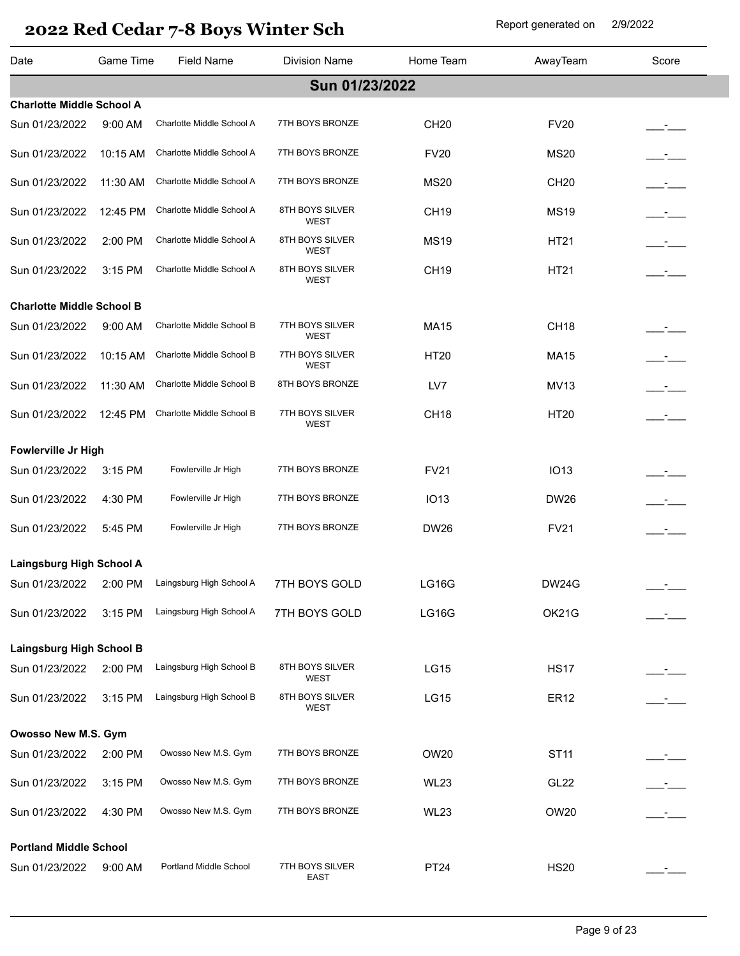| Date                             | Game Time | <b>Field Name</b>                | <b>Division Name</b>           | Home Team        | AwayTeam         | Score |
|----------------------------------|-----------|----------------------------------|--------------------------------|------------------|------------------|-------|
|                                  |           |                                  | Sun 01/23/2022                 |                  |                  |       |
| <b>Charlotte Middle School A</b> |           |                                  |                                |                  |                  |       |
| Sun 01/23/2022                   | $9:00$ AM | Charlotte Middle School A        | 7TH BOYS BRONZE                | <b>CH20</b>      | <b>FV20</b>      |       |
| Sun 01/23/2022                   | 10:15 AM  | Charlotte Middle School A        | 7TH BOYS BRONZE                | <b>FV20</b>      | <b>MS20</b>      |       |
| Sun 01/23/2022                   | 11:30 AM  | Charlotte Middle School A        | 7TH BOYS BRONZE                | <b>MS20</b>      | <b>CH20</b>      |       |
| Sun 01/23/2022                   | 12:45 PM  | Charlotte Middle School A        | 8TH BOYS SILVER<br><b>WEST</b> | <b>CH19</b>      | <b>MS19</b>      |       |
| Sun 01/23/2022                   | 2:00 PM   | Charlotte Middle School A        | 8TH BOYS SILVER<br><b>WEST</b> | <b>MS19</b>      | <b>HT21</b>      |       |
| Sun 01/23/2022                   | 3:15 PM   | Charlotte Middle School A        | 8TH BOYS SILVER<br><b>WEST</b> | <b>CH19</b>      | <b>HT21</b>      |       |
| <b>Charlotte Middle School B</b> |           |                                  |                                |                  |                  |       |
| Sun 01/23/2022                   | $9:00$ AM | Charlotte Middle School B        | 7TH BOYS SILVER<br><b>WEST</b> | <b>MA15</b>      | CH <sub>18</sub> |       |
| Sun 01/23/2022                   | 10:15 AM  | Charlotte Middle School B        | 7TH BOYS SILVER<br><b>WEST</b> | <b>HT20</b>      | <b>MA15</b>      |       |
| Sun 01/23/2022                   | 11:30 AM  | Charlotte Middle School B        | 8TH BOYS BRONZE                | LV7              | <b>MV13</b>      |       |
| Sun 01/23/2022                   | 12:45 PM  | Charlotte Middle School B        | 7TH BOYS SILVER<br><b>WEST</b> | CH <sub>18</sub> | <b>HT20</b>      |       |
| Fowlerville Jr High              |           |                                  |                                |                  |                  |       |
| Sun 01/23/2022                   | 3:15 PM   | Fowlerville Jr High              | 7TH BOYS BRONZE                | <b>FV21</b>      | <b>IO13</b>      |       |
| Sun 01/23/2022                   | 4:30 PM   | Fowlerville Jr High              | 7TH BOYS BRONZE                | <b>IO13</b>      | <b>DW26</b>      | $ -$  |
| Sun 01/23/2022                   | 5:45 PM   | Fowlerville Jr High              | 7TH BOYS BRONZE                | <b>DW26</b>      | <b>FV21</b>      | $ -$  |
| Laingsburg High School A         |           |                                  |                                |                  |                  |       |
| Sun 01/23/2022                   |           | 2:00 PM Laingsburg High School A | 7TH BOYS GOLD                  | <b>LG16G</b>     | <b>DW24G</b>     |       |
| Sun 01/23/2022                   | 3:15 PM   | Laingsburg High School A         | 7TH BOYS GOLD                  | <b>LG16G</b>     | OK21G            |       |
| <b>Laingsburg High School B</b>  |           |                                  |                                |                  |                  |       |
| Sun 01/23/2022                   | 2:00 PM   | Laingsburg High School B         | 8TH BOYS SILVER<br>WEST        | <b>LG15</b>      | <b>HS17</b>      |       |
| Sun 01/23/2022                   | 3:15 PM   | Laingsburg High School B         | 8TH BOYS SILVER<br>WEST        | <b>LG15</b>      | <b>ER12</b>      |       |
| Owosso New M.S. Gym              |           |                                  |                                |                  |                  |       |
| Sun 01/23/2022                   | 2:00 PM   | Owosso New M.S. Gym              | 7TH BOYS BRONZE                | OW20             | <b>ST11</b>      |       |
| Sun 01/23/2022                   | 3:15 PM   | Owosso New M.S. Gym              | 7TH BOYS BRONZE                | <b>WL23</b>      | <b>GL22</b>      |       |
| Sun 01/23/2022                   | 4:30 PM   | Owosso New M.S. Gym              | 7TH BOYS BRONZE                | <b>WL23</b>      | OW20             |       |
| <b>Portland Middle School</b>    |           |                                  |                                |                  |                  |       |
| Sun 01/23/2022                   | $9:00$ AM | Portland Middle School           | 7TH BOYS SILVER<br><b>EAST</b> | <b>PT24</b>      | <b>HS20</b>      |       |
|                                  |           |                                  |                                |                  |                  |       |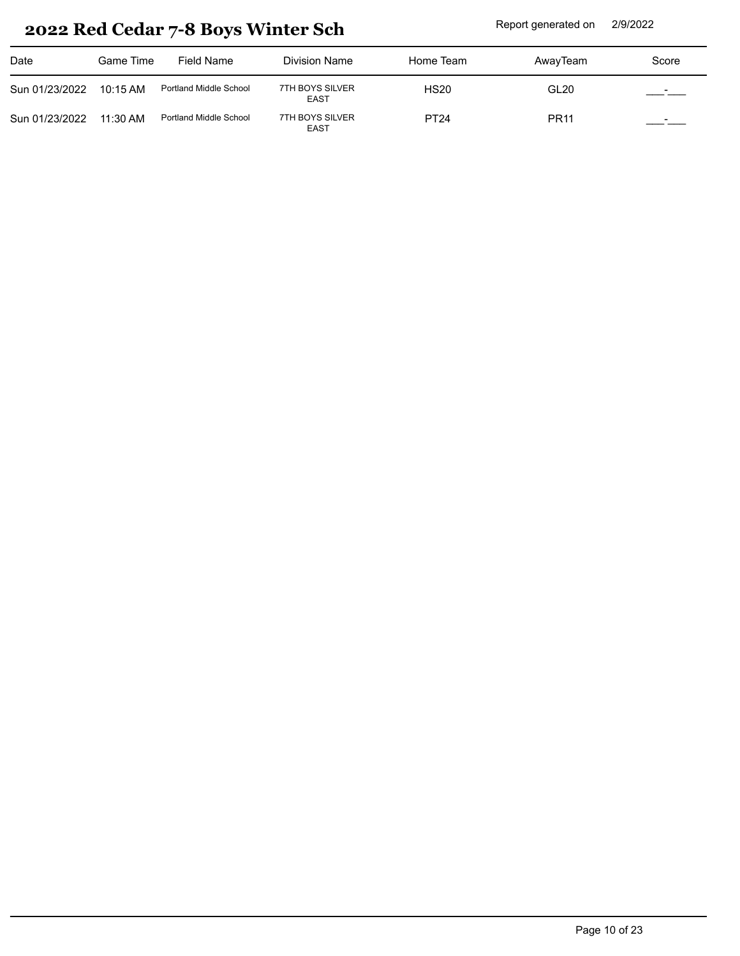| Date           | Game Time  | Field Name             | Division Name                  | Home Team   | AwayTeam         | Score     |
|----------------|------------|------------------------|--------------------------------|-------------|------------------|-----------|
| Sun 01/23/2022 | 10:15 AM   | Portland Middle School | 7TH BOYS SILVER<br>EAST        | <b>HS20</b> | GL <sub>20</sub> |           |
| Sun 01/23/2022 | $11:30$ AM | Portland Middle School | 7TH BOYS SILVER<br><b>EAST</b> | <b>PT24</b> | <b>PR11</b>      | المستأنسة |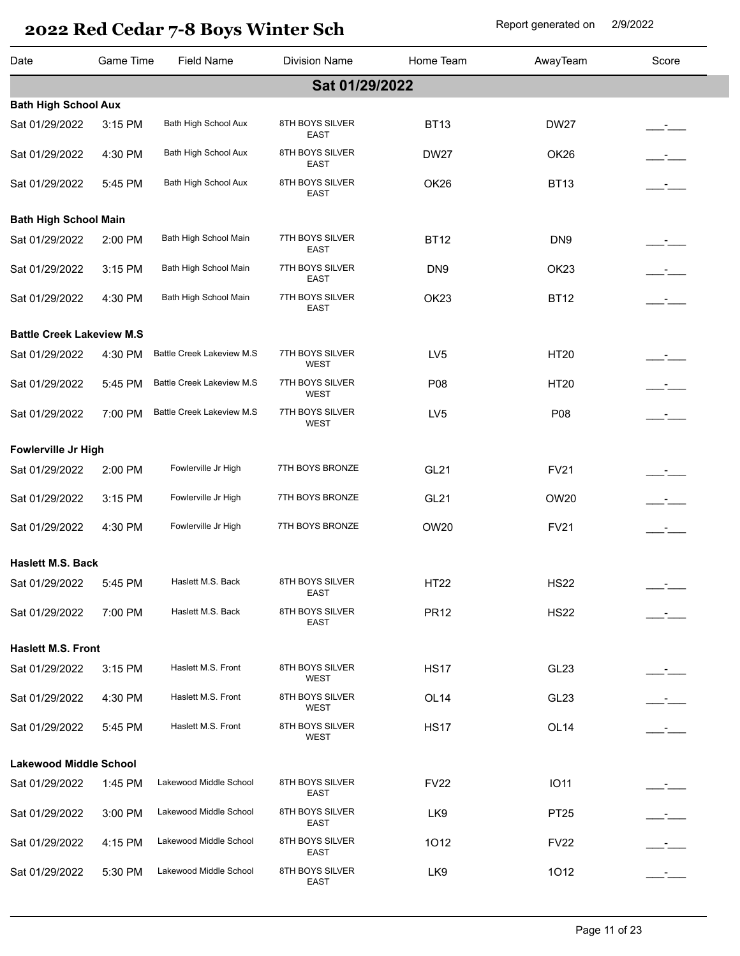| Date                             | Game Time | Field Name                       | <b>Division Name</b>           | Home Team        | AwayTeam         | Score                |
|----------------------------------|-----------|----------------------------------|--------------------------------|------------------|------------------|----------------------|
|                                  |           |                                  | Sat 01/29/2022                 |                  |                  |                      |
| <b>Bath High School Aux</b>      |           |                                  |                                |                  |                  |                      |
| Sat 01/29/2022                   | 3:15 PM   | Bath High School Aux             | 8TH BOYS SILVER<br>EAST        | <b>BT13</b>      | <b>DW27</b>      |                      |
| Sat 01/29/2022                   | 4:30 PM   | Bath High School Aux             | 8TH BOYS SILVER<br><b>EAST</b> | <b>DW27</b>      | OK <sub>26</sub> |                      |
| Sat 01/29/2022                   | 5:45 PM   | Bath High School Aux             | 8TH BOYS SILVER<br>EAST        | OK26             | <b>BT13</b>      |                      |
| <b>Bath High School Main</b>     |           |                                  |                                |                  |                  |                      |
| Sat 01/29/2022                   | 2:00 PM   | Bath High School Main            | 7TH BOYS SILVER<br><b>EAST</b> | <b>BT12</b>      | DN <sub>9</sub>  |                      |
| Sat 01/29/2022                   | 3:15 PM   | Bath High School Main            | 7TH BOYS SILVER<br><b>EAST</b> | DN <sub>9</sub>  | OK <sub>23</sub> | $ -$                 |
| Sat 01/29/2022                   | 4:30 PM   | Bath High School Main            | 7TH BOYS SILVER<br>EAST        | OK <sub>23</sub> | <b>BT12</b>      | $\mathcal{L}$        |
| <b>Battle Creek Lakeview M.S</b> |           |                                  |                                |                  |                  |                      |
| Sat 01/29/2022                   | 4:30 PM   | <b>Battle Creek Lakeview M.S</b> | 7TH BOYS SILVER<br><b>WEST</b> | LV <sub>5</sub>  | <b>HT20</b>      | __ <del>_</del> ____ |
| Sat 01/29/2022                   | 5:45 PM   | Battle Creek Lakeview M.S        | 7TH BOYS SILVER<br><b>WEST</b> | P08              | <b>HT20</b>      | $ -$                 |
| Sat 01/29/2022                   | 7:00 PM   | <b>Battle Creek Lakeview M.S</b> | 7TH BOYS SILVER<br><b>WEST</b> | LV <sub>5</sub>  | P08              | $\mathcal{L}$        |
| Fowlerville Jr High              |           |                                  |                                |                  |                  |                      |
| Sat 01/29/2022                   | 2:00 PM   | Fowlerville Jr High              | 7TH BOYS BRONZE                | <b>GL21</b>      | <b>FV21</b>      |                      |
| Sat 01/29/2022                   | 3:15 PM   | Fowlerville Jr High              | 7TH BOYS BRONZE                | <b>GL21</b>      | OW20             |                      |
| Sat 01/29/2022                   | 4:30 PM   | Fowlerville Jr High              | 7TH BOYS BRONZE                | OW20             | <b>FV21</b>      | $\mathcal{L}$        |
| <b>Haslett M.S. Back</b>         |           |                                  |                                |                  |                  |                      |
| Sat 01/29/2022                   | 5:45 PM   | Haslett M.S. Back                | 8TH BOYS SILVER<br>EAST        | <b>HT22</b>      | <b>HS22</b>      |                      |
| Sat 01/29/2022                   | 7:00 PM   | Haslett M.S. Back                | 8TH BOYS SILVER<br>EAST        | <b>PR12</b>      | <b>HS22</b>      |                      |
| <b>Haslett M.S. Front</b>        |           |                                  |                                |                  |                  |                      |
| Sat 01/29/2022                   | 3:15 PM   | Haslett M.S. Front               | 8TH BOYS SILVER<br>WEST        | <b>HS17</b>      | GL <sub>23</sub> |                      |
| Sat 01/29/2022                   | 4:30 PM   | Haslett M.S. Front               | 8TH BOYS SILVER<br>WEST        | OL <sub>14</sub> | GL <sub>23</sub> |                      |
| Sat 01/29/2022                   | 5:45 PM   | Haslett M.S. Front               | 8TH BOYS SILVER<br>WEST        | <b>HS17</b>      | OL <sub>14</sub> |                      |
| <b>Lakewood Middle School</b>    |           |                                  |                                |                  |                  |                      |
| Sat 01/29/2022                   | 1:45 PM   | Lakewood Middle School           | 8TH BOYS SILVER<br>EAST        | <b>FV22</b>      | <b>IO11</b>      |                      |
| Sat 01/29/2022                   | 3:00 PM   | Lakewood Middle School           | 8TH BOYS SILVER<br>EAST        | LK9              | PT25             |                      |
| Sat 01/29/2022                   | 4:15 PM   | Lakewood Middle School           | 8TH BOYS SILVER<br>EAST        | 1012             | <b>FV22</b>      |                      |
| Sat 01/29/2022                   | 5:30 PM   | Lakewood Middle School           | 8TH BOYS SILVER<br>EAST        | LK9              | 1012             |                      |
|                                  |           |                                  |                                |                  |                  |                      |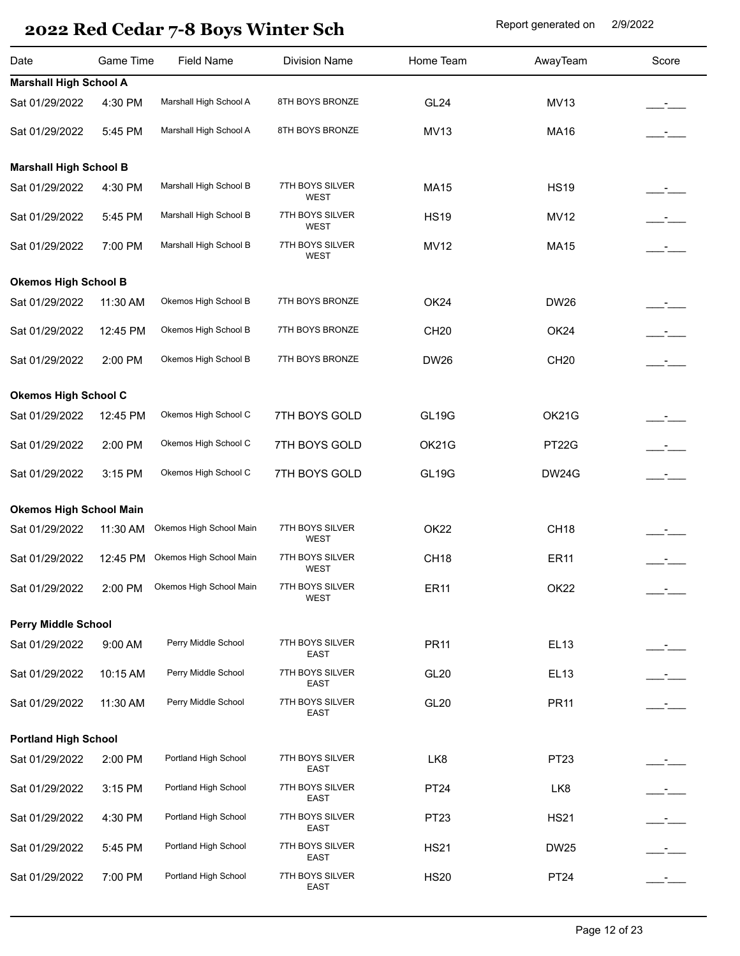| Marshall High School A<br>8TH BOYS BRONZE<br>GL <sub>24</sub><br><b>MV13</b><br>4:30 PM<br>Marshall High School A<br>8TH BOYS BRONZE<br>5:45 PM<br><b>MV13</b><br><b>MA16</b><br><b>Marshall High School B</b><br>Marshall High School B<br>7TH BOYS SILVER<br>4:30 PM<br><b>HS19</b><br><b>MA15</b><br>WEST<br>Marshall High School B<br>7TH BOYS SILVER<br>5:45 PM<br><b>HS19</b><br><b>MV12</b><br>$-1$<br>WEST<br>Marshall High School B<br>7TH BOYS SILVER<br><b>MV12</b><br>7:00 PM<br><b>MA15</b><br>$\mathcal{L}$<br>WEST<br><b>Okemos High School B</b><br>Okemos High School B<br>7TH BOYS BRONZE<br>11:30 AM<br>OK <sub>24</sub><br><b>DW26</b><br>Okemos High School B<br>7TH BOYS BRONZE<br>12:45 PM<br><b>CH20</b><br>OK24<br>Okemos High School B<br>7TH BOYS BRONZE<br>2:00 PM<br><b>DW26</b><br><b>CH20</b><br><b>Okemos High School C</b><br>Okemos High School C<br><b>GL19G</b><br>OK21G<br>7TH BOYS GOLD<br>12:45 PM<br>Okemos High School C<br>7TH BOYS GOLD<br>OK21G<br>PT22G<br>2:00 PM<br>Okemos High School C<br>7TH BOYS GOLD<br><b>GL19G</b><br><b>DW24G</b><br>3:15 PM<br><b>Okemos High School Main</b><br>Okemos High School Main<br>7TH BOYS SILVER<br><b>OK22</b><br><b>CH18</b><br>11:30 AM<br>WEST<br>Okemos High School Main<br>7TH BOYS SILVER<br>CH <sub>18</sub><br><b>ER11</b><br>12:45 PM<br>WEST<br>7TH BOYS SILVER<br>OK22<br>Okemos High School Main<br><b>ER11</b><br>2:00 PM<br>WEST<br><b>Perry Middle School</b><br>7TH BOYS SILVER<br>Perry Middle School<br>9:00 AM<br><b>PR11</b><br><b>EL13</b><br><b>EAST</b><br>Perry Middle School<br>7TH BOYS SILVER<br>10:15 AM<br><b>GL20</b><br><b>EL13</b><br>$ -$<br>EAST<br>Perry Middle School<br>7TH BOYS SILVER<br>GL20<br><b>PR11</b><br>11:30 AM<br>$ -$<br><b>EAST</b><br><b>Portland High School</b><br>Portland High School<br>7TH BOYS SILVER<br>PT23<br>2:00 PM<br>LK8<br><b>EAST</b><br>Portland High School<br>7TH BOYS SILVER<br>3:15 PM<br><b>PT24</b><br>LK8<br>$ -$<br><b>EAST</b><br>Portland High School<br>7TH BOYS SILVER<br>4:30 PM<br>PT23<br><b>HS21</b><br>$\mathcal{L}$<br>EAST<br>Portland High School<br>7TH BOYS SILVER<br>5:45 PM<br><b>HS21</b><br><b>DW25</b><br>$ -$<br>EAST<br>Portland High School<br>7TH BOYS SILVER<br><b>PT24</b><br>7:00 PM<br><b>HS20</b><br><b>EAST</b> | Date                          | Game Time | <b>Field Name</b> | <b>Division Name</b> | Home Team | AwayTeam | Score |  |  |  |
|---------------------------------------------------------------------------------------------------------------------------------------------------------------------------------------------------------------------------------------------------------------------------------------------------------------------------------------------------------------------------------------------------------------------------------------------------------------------------------------------------------------------------------------------------------------------------------------------------------------------------------------------------------------------------------------------------------------------------------------------------------------------------------------------------------------------------------------------------------------------------------------------------------------------------------------------------------------------------------------------------------------------------------------------------------------------------------------------------------------------------------------------------------------------------------------------------------------------------------------------------------------------------------------------------------------------------------------------------------------------------------------------------------------------------------------------------------------------------------------------------------------------------------------------------------------------------------------------------------------------------------------------------------------------------------------------------------------------------------------------------------------------------------------------------------------------------------------------------------------------------------------------------------------------------------------------------------------------------------------------------------------------------------------------------------------------------------------------------------------------------------------------------------------------------------------------------------------------------------------------------------------------------------------------------------------|-------------------------------|-----------|-------------------|----------------------|-----------|----------|-------|--|--|--|
|                                                                                                                                                                                                                                                                                                                                                                                                                                                                                                                                                                                                                                                                                                                                                                                                                                                                                                                                                                                                                                                                                                                                                                                                                                                                                                                                                                                                                                                                                                                                                                                                                                                                                                                                                                                                                                                                                                                                                                                                                                                                                                                                                                                                                                                                                                               | <b>Marshall High School A</b> |           |                   |                      |           |          |       |  |  |  |
|                                                                                                                                                                                                                                                                                                                                                                                                                                                                                                                                                                                                                                                                                                                                                                                                                                                                                                                                                                                                                                                                                                                                                                                                                                                                                                                                                                                                                                                                                                                                                                                                                                                                                                                                                                                                                                                                                                                                                                                                                                                                                                                                                                                                                                                                                                               | Sat 01/29/2022                |           |                   |                      |           |          |       |  |  |  |
|                                                                                                                                                                                                                                                                                                                                                                                                                                                                                                                                                                                                                                                                                                                                                                                                                                                                                                                                                                                                                                                                                                                                                                                                                                                                                                                                                                                                                                                                                                                                                                                                                                                                                                                                                                                                                                                                                                                                                                                                                                                                                                                                                                                                                                                                                                               | Sat 01/29/2022                |           |                   |                      |           |          |       |  |  |  |
|                                                                                                                                                                                                                                                                                                                                                                                                                                                                                                                                                                                                                                                                                                                                                                                                                                                                                                                                                                                                                                                                                                                                                                                                                                                                                                                                                                                                                                                                                                                                                                                                                                                                                                                                                                                                                                                                                                                                                                                                                                                                                                                                                                                                                                                                                                               |                               |           |                   |                      |           |          |       |  |  |  |
|                                                                                                                                                                                                                                                                                                                                                                                                                                                                                                                                                                                                                                                                                                                                                                                                                                                                                                                                                                                                                                                                                                                                                                                                                                                                                                                                                                                                                                                                                                                                                                                                                                                                                                                                                                                                                                                                                                                                                                                                                                                                                                                                                                                                                                                                                                               | Sat 01/29/2022                |           |                   |                      |           |          |       |  |  |  |
|                                                                                                                                                                                                                                                                                                                                                                                                                                                                                                                                                                                                                                                                                                                                                                                                                                                                                                                                                                                                                                                                                                                                                                                                                                                                                                                                                                                                                                                                                                                                                                                                                                                                                                                                                                                                                                                                                                                                                                                                                                                                                                                                                                                                                                                                                                               | Sat 01/29/2022                |           |                   |                      |           |          |       |  |  |  |
|                                                                                                                                                                                                                                                                                                                                                                                                                                                                                                                                                                                                                                                                                                                                                                                                                                                                                                                                                                                                                                                                                                                                                                                                                                                                                                                                                                                                                                                                                                                                                                                                                                                                                                                                                                                                                                                                                                                                                                                                                                                                                                                                                                                                                                                                                                               | Sat 01/29/2022                |           |                   |                      |           |          |       |  |  |  |
|                                                                                                                                                                                                                                                                                                                                                                                                                                                                                                                                                                                                                                                                                                                                                                                                                                                                                                                                                                                                                                                                                                                                                                                                                                                                                                                                                                                                                                                                                                                                                                                                                                                                                                                                                                                                                                                                                                                                                                                                                                                                                                                                                                                                                                                                                                               |                               |           |                   |                      |           |          |       |  |  |  |
|                                                                                                                                                                                                                                                                                                                                                                                                                                                                                                                                                                                                                                                                                                                                                                                                                                                                                                                                                                                                                                                                                                                                                                                                                                                                                                                                                                                                                                                                                                                                                                                                                                                                                                                                                                                                                                                                                                                                                                                                                                                                                                                                                                                                                                                                                                               | Sat 01/29/2022                |           |                   |                      |           |          |       |  |  |  |
|                                                                                                                                                                                                                                                                                                                                                                                                                                                                                                                                                                                                                                                                                                                                                                                                                                                                                                                                                                                                                                                                                                                                                                                                                                                                                                                                                                                                                                                                                                                                                                                                                                                                                                                                                                                                                                                                                                                                                                                                                                                                                                                                                                                                                                                                                                               | Sat 01/29/2022                |           |                   |                      |           |          |       |  |  |  |
|                                                                                                                                                                                                                                                                                                                                                                                                                                                                                                                                                                                                                                                                                                                                                                                                                                                                                                                                                                                                                                                                                                                                                                                                                                                                                                                                                                                                                                                                                                                                                                                                                                                                                                                                                                                                                                                                                                                                                                                                                                                                                                                                                                                                                                                                                                               | Sat 01/29/2022                |           |                   |                      |           |          |       |  |  |  |
|                                                                                                                                                                                                                                                                                                                                                                                                                                                                                                                                                                                                                                                                                                                                                                                                                                                                                                                                                                                                                                                                                                                                                                                                                                                                                                                                                                                                                                                                                                                                                                                                                                                                                                                                                                                                                                                                                                                                                                                                                                                                                                                                                                                                                                                                                                               |                               |           |                   |                      |           |          |       |  |  |  |
|                                                                                                                                                                                                                                                                                                                                                                                                                                                                                                                                                                                                                                                                                                                                                                                                                                                                                                                                                                                                                                                                                                                                                                                                                                                                                                                                                                                                                                                                                                                                                                                                                                                                                                                                                                                                                                                                                                                                                                                                                                                                                                                                                                                                                                                                                                               | Sat 01/29/2022                |           |                   |                      |           |          |       |  |  |  |
|                                                                                                                                                                                                                                                                                                                                                                                                                                                                                                                                                                                                                                                                                                                                                                                                                                                                                                                                                                                                                                                                                                                                                                                                                                                                                                                                                                                                                                                                                                                                                                                                                                                                                                                                                                                                                                                                                                                                                                                                                                                                                                                                                                                                                                                                                                               | Sat 01/29/2022                |           |                   |                      |           |          |       |  |  |  |
|                                                                                                                                                                                                                                                                                                                                                                                                                                                                                                                                                                                                                                                                                                                                                                                                                                                                                                                                                                                                                                                                                                                                                                                                                                                                                                                                                                                                                                                                                                                                                                                                                                                                                                                                                                                                                                                                                                                                                                                                                                                                                                                                                                                                                                                                                                               | Sat 01/29/2022                |           |                   |                      |           |          |       |  |  |  |
|                                                                                                                                                                                                                                                                                                                                                                                                                                                                                                                                                                                                                                                                                                                                                                                                                                                                                                                                                                                                                                                                                                                                                                                                                                                                                                                                                                                                                                                                                                                                                                                                                                                                                                                                                                                                                                                                                                                                                                                                                                                                                                                                                                                                                                                                                                               |                               |           |                   |                      |           |          |       |  |  |  |
|                                                                                                                                                                                                                                                                                                                                                                                                                                                                                                                                                                                                                                                                                                                                                                                                                                                                                                                                                                                                                                                                                                                                                                                                                                                                                                                                                                                                                                                                                                                                                                                                                                                                                                                                                                                                                                                                                                                                                                                                                                                                                                                                                                                                                                                                                                               | Sat 01/29/2022                |           |                   |                      |           |          |       |  |  |  |
|                                                                                                                                                                                                                                                                                                                                                                                                                                                                                                                                                                                                                                                                                                                                                                                                                                                                                                                                                                                                                                                                                                                                                                                                                                                                                                                                                                                                                                                                                                                                                                                                                                                                                                                                                                                                                                                                                                                                                                                                                                                                                                                                                                                                                                                                                                               | Sat 01/29/2022                |           |                   |                      |           |          |       |  |  |  |
|                                                                                                                                                                                                                                                                                                                                                                                                                                                                                                                                                                                                                                                                                                                                                                                                                                                                                                                                                                                                                                                                                                                                                                                                                                                                                                                                                                                                                                                                                                                                                                                                                                                                                                                                                                                                                                                                                                                                                                                                                                                                                                                                                                                                                                                                                                               | Sat 01/29/2022                |           |                   |                      |           |          |       |  |  |  |
|                                                                                                                                                                                                                                                                                                                                                                                                                                                                                                                                                                                                                                                                                                                                                                                                                                                                                                                                                                                                                                                                                                                                                                                                                                                                                                                                                                                                                                                                                                                                                                                                                                                                                                                                                                                                                                                                                                                                                                                                                                                                                                                                                                                                                                                                                                               |                               |           |                   |                      |           |          |       |  |  |  |
|                                                                                                                                                                                                                                                                                                                                                                                                                                                                                                                                                                                                                                                                                                                                                                                                                                                                                                                                                                                                                                                                                                                                                                                                                                                                                                                                                                                                                                                                                                                                                                                                                                                                                                                                                                                                                                                                                                                                                                                                                                                                                                                                                                                                                                                                                                               | Sat 01/29/2022                |           |                   |                      |           |          |       |  |  |  |
|                                                                                                                                                                                                                                                                                                                                                                                                                                                                                                                                                                                                                                                                                                                                                                                                                                                                                                                                                                                                                                                                                                                                                                                                                                                                                                                                                                                                                                                                                                                                                                                                                                                                                                                                                                                                                                                                                                                                                                                                                                                                                                                                                                                                                                                                                                               | Sat 01/29/2022                |           |                   |                      |           |          |       |  |  |  |
|                                                                                                                                                                                                                                                                                                                                                                                                                                                                                                                                                                                                                                                                                                                                                                                                                                                                                                                                                                                                                                                                                                                                                                                                                                                                                                                                                                                                                                                                                                                                                                                                                                                                                                                                                                                                                                                                                                                                                                                                                                                                                                                                                                                                                                                                                                               | Sat 01/29/2022                |           |                   |                      |           |          |       |  |  |  |
|                                                                                                                                                                                                                                                                                                                                                                                                                                                                                                                                                                                                                                                                                                                                                                                                                                                                                                                                                                                                                                                                                                                                                                                                                                                                                                                                                                                                                                                                                                                                                                                                                                                                                                                                                                                                                                                                                                                                                                                                                                                                                                                                                                                                                                                                                                               |                               |           |                   |                      |           |          |       |  |  |  |
|                                                                                                                                                                                                                                                                                                                                                                                                                                                                                                                                                                                                                                                                                                                                                                                                                                                                                                                                                                                                                                                                                                                                                                                                                                                                                                                                                                                                                                                                                                                                                                                                                                                                                                                                                                                                                                                                                                                                                                                                                                                                                                                                                                                                                                                                                                               | Sat 01/29/2022                |           |                   |                      |           |          |       |  |  |  |
|                                                                                                                                                                                                                                                                                                                                                                                                                                                                                                                                                                                                                                                                                                                                                                                                                                                                                                                                                                                                                                                                                                                                                                                                                                                                                                                                                                                                                                                                                                                                                                                                                                                                                                                                                                                                                                                                                                                                                                                                                                                                                                                                                                                                                                                                                                               | Sat 01/29/2022                |           |                   |                      |           |          |       |  |  |  |
|                                                                                                                                                                                                                                                                                                                                                                                                                                                                                                                                                                                                                                                                                                                                                                                                                                                                                                                                                                                                                                                                                                                                                                                                                                                                                                                                                                                                                                                                                                                                                                                                                                                                                                                                                                                                                                                                                                                                                                                                                                                                                                                                                                                                                                                                                                               | Sat 01/29/2022                |           |                   |                      |           |          |       |  |  |  |
|                                                                                                                                                                                                                                                                                                                                                                                                                                                                                                                                                                                                                                                                                                                                                                                                                                                                                                                                                                                                                                                                                                                                                                                                                                                                                                                                                                                                                                                                                                                                                                                                                                                                                                                                                                                                                                                                                                                                                                                                                                                                                                                                                                                                                                                                                                               | Sat 01/29/2022                |           |                   |                      |           |          |       |  |  |  |
|                                                                                                                                                                                                                                                                                                                                                                                                                                                                                                                                                                                                                                                                                                                                                                                                                                                                                                                                                                                                                                                                                                                                                                                                                                                                                                                                                                                                                                                                                                                                                                                                                                                                                                                                                                                                                                                                                                                                                                                                                                                                                                                                                                                                                                                                                                               | Sat 01/29/2022                |           |                   |                      |           |          |       |  |  |  |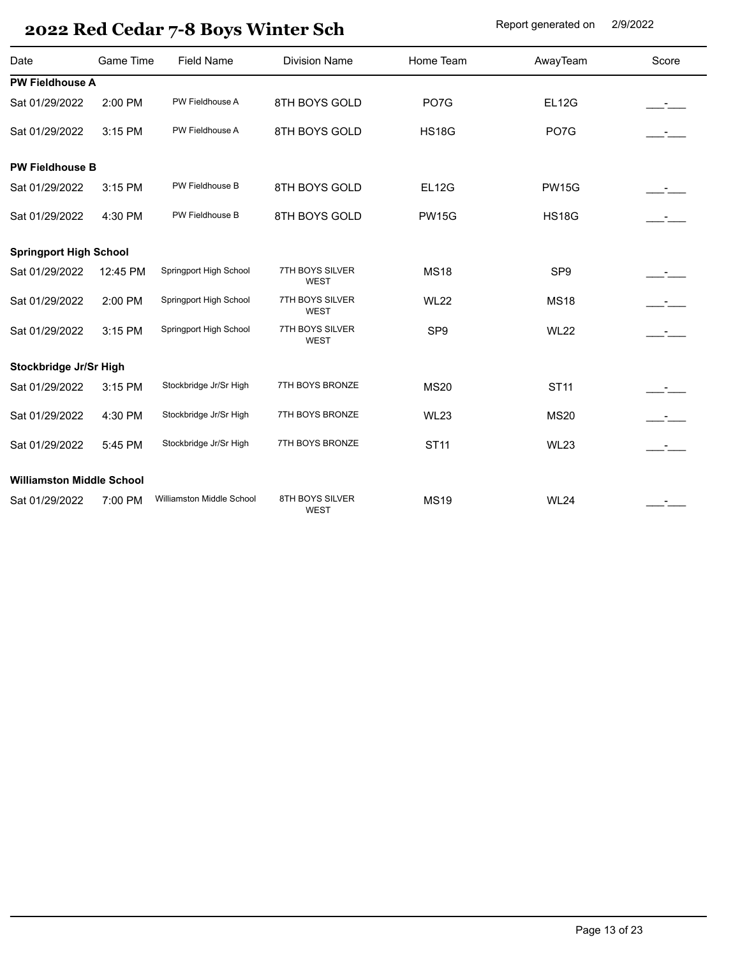| Date                             | <b>Game Time</b> | <b>Field Name</b>         | <b>Division Name</b>           | Home Team       | AwayTeam        | Score          |
|----------------------------------|------------------|---------------------------|--------------------------------|-----------------|-----------------|----------------|
| <b>PW Fieldhouse A</b>           |                  |                           |                                |                 |                 |                |
| Sat 01/29/2022                   | 2:00 PM          | PW Fieldhouse A           | 8TH BOYS GOLD                  | PO7G            | <b>EL12G</b>    |                |
| Sat 01/29/2022                   | 3:15 PM          | PW Fieldhouse A           | 8TH BOYS GOLD                  | <b>HS18G</b>    | PO7G            |                |
| <b>PW Fieldhouse B</b>           |                  |                           |                                |                 |                 |                |
| Sat 01/29/2022                   | 3:15 PM          | PW Fieldhouse B           | 8TH BOYS GOLD                  | <b>EL12G</b>    | <b>PW15G</b>    |                |
| Sat 01/29/2022                   | 4:30 PM          | PW Fieldhouse B           | 8TH BOYS GOLD                  | <b>PW15G</b>    | <b>HS18G</b>    | $\mathbb{R}^n$ |
| <b>Springport High School</b>    |                  |                           |                                |                 |                 |                |
| Sat 01/29/2022                   | 12:45 PM         | Springport High School    | 7TH BOYS SILVER<br>WEST        | <b>MS18</b>     | SP <sub>9</sub> |                |
| Sat 01/29/2022                   | 2:00 PM          | Springport High School    | 7TH BOYS SILVER<br><b>WEST</b> | <b>WL22</b>     | <b>MS18</b>     |                |
| Sat 01/29/2022                   | 3:15 PM          | Springport High School    | 7TH BOYS SILVER<br><b>WEST</b> | SP <sub>9</sub> | <b>WL22</b>     | $ -$           |
| Stockbridge Jr/Sr High           |                  |                           |                                |                 |                 |                |
| Sat 01/29/2022                   | 3:15 PM          | Stockbridge Jr/Sr High    | 7TH BOYS BRONZE                | <b>MS20</b>     | <b>ST11</b>     |                |
| Sat 01/29/2022                   | 4:30 PM          | Stockbridge Jr/Sr High    | 7TH BOYS BRONZE                | <b>WL23</b>     | <b>MS20</b>     |                |
| Sat 01/29/2022                   | 5:45 PM          | Stockbridge Jr/Sr High    | 7TH BOYS BRONZE                | <b>ST11</b>     | <b>WL23</b>     | $\mathcal{L}$  |
| <b>Williamston Middle School</b> |                  |                           |                                |                 |                 |                |
| Sat 01/29/2022                   | 7:00 PM          | Williamston Middle School | 8TH BOYS SILVER<br><b>WEST</b> | <b>MS19</b>     | <b>WL24</b>     |                |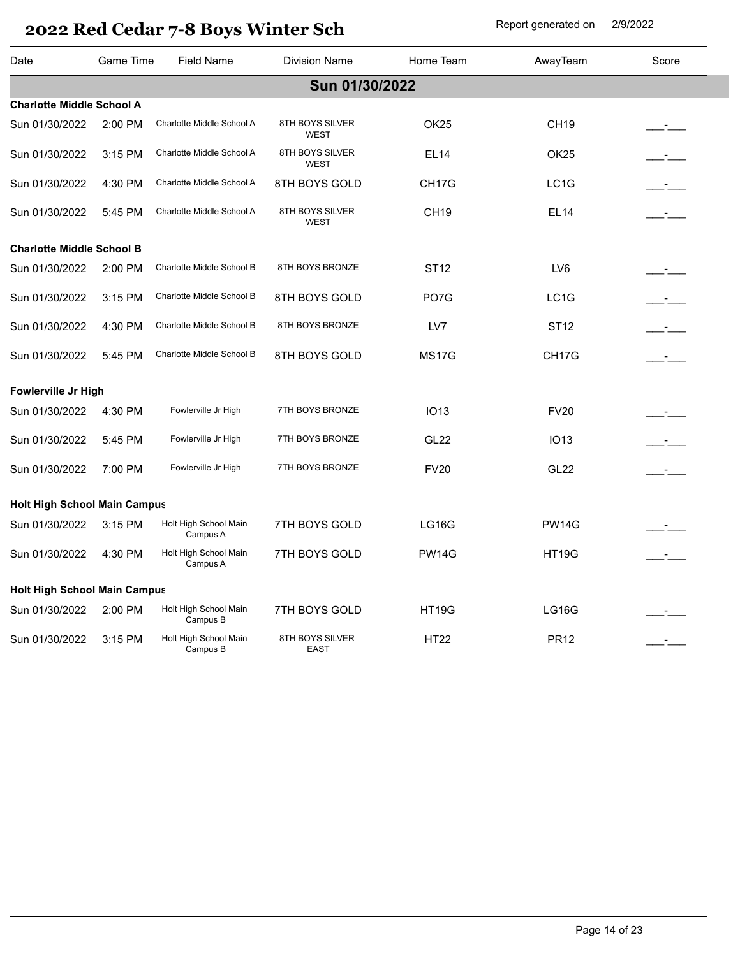| Date                                | Game Time | <b>Field Name</b>                 | <b>Division Name</b>           | Home Team          | AwayTeam          | Score                     |
|-------------------------------------|-----------|-----------------------------------|--------------------------------|--------------------|-------------------|---------------------------|
|                                     |           |                                   | Sun 01/30/2022                 |                    |                   |                           |
| <b>Charlotte Middle School A</b>    |           |                                   |                                |                    |                   |                           |
| Sun 01/30/2022                      | 2:00 PM   | Charlotte Middle School A         | 8TH BOYS SILVER<br>WEST        | OK <sub>25</sub>   | <b>CH19</b>       |                           |
| Sun 01/30/2022                      | 3:15 PM   | Charlotte Middle School A         | 8TH BOYS SILVER<br>WEST        | EL14               | OK <sub>25</sub>  |                           |
| Sun 01/30/2022                      | 4:30 PM   | Charlotte Middle School A         | 8TH BOYS GOLD                  | CH <sub>17</sub> G | LC <sub>1</sub> G |                           |
| Sun 01/30/2022                      | 5:45 PM   | Charlotte Middle School A         | 8TH BOYS SILVER<br><b>WEST</b> | <b>CH19</b>        | <b>EL14</b>       | $\sim 10^{-10}$ m $^{-1}$ |
| <b>Charlotte Middle School B</b>    |           |                                   |                                |                    |                   |                           |
| Sun 01/30/2022                      | 2:00 PM   | Charlotte Middle School B         | 8TH BOYS BRONZE                | <b>ST12</b>        | LV6               |                           |
| Sun 01/30/2022                      | $3:15$ PM | Charlotte Middle School B         | 8TH BOYS GOLD                  | PO <sub>7</sub> G  | LC <sub>1</sub> G | $ -$                      |
| Sun 01/30/2022                      | 4:30 PM   | Charlotte Middle School B         | 8TH BOYS BRONZE                | LV7                | <b>ST12</b>       | $\mathcal{L}$             |
| Sun 01/30/2022                      | 5:45 PM   | Charlotte Middle School B         | 8TH BOYS GOLD                  | <b>MS17G</b>       | CH17G             | $\mathcal{L}$             |
| Fowlerville Jr High                 |           |                                   |                                |                    |                   |                           |
| Sun 01/30/2022                      | 4:30 PM   | Fowlerville Jr High               | 7TH BOYS BRONZE                | <b>IO13</b>        | <b>FV20</b>       |                           |
| Sun 01/30/2022                      | 5:45 PM   | Fowlerville Jr High               | 7TH BOYS BRONZE                | GL <sub>22</sub>   | <b>IO13</b>       |                           |
| Sun 01/30/2022                      | 7:00 PM   | Fowlerville Jr High               | 7TH BOYS BRONZE                | <b>FV20</b>        | GL <sub>22</sub>  |                           |
| <b>Holt High School Main Campus</b> |           |                                   |                                |                    |                   |                           |
| Sun 01/30/2022                      | 3:15 PM   | Holt High School Main<br>Campus A | 7TH BOYS GOLD                  | <b>LG16G</b>       | <b>PW14G</b>      |                           |
| Sun 01/30/2022                      | 4:30 PM   | Holt High School Main<br>Campus A | 7TH BOYS GOLD                  | <b>PW14G</b>       | <b>HT19G</b>      |                           |
| <b>Holt High School Main Campus</b> |           |                                   |                                |                    |                   |                           |
| Sun 01/30/2022                      | 2:00 PM   | Holt High School Main<br>Campus B | 7TH BOYS GOLD                  | <b>HT19G</b>       | <b>LG16G</b>      |                           |
| Sun 01/30/2022                      | 3:15 PM   | Holt High School Main<br>Campus B | 8TH BOYS SILVER<br><b>EAST</b> | <b>HT22</b>        | PR <sub>12</sub>  |                           |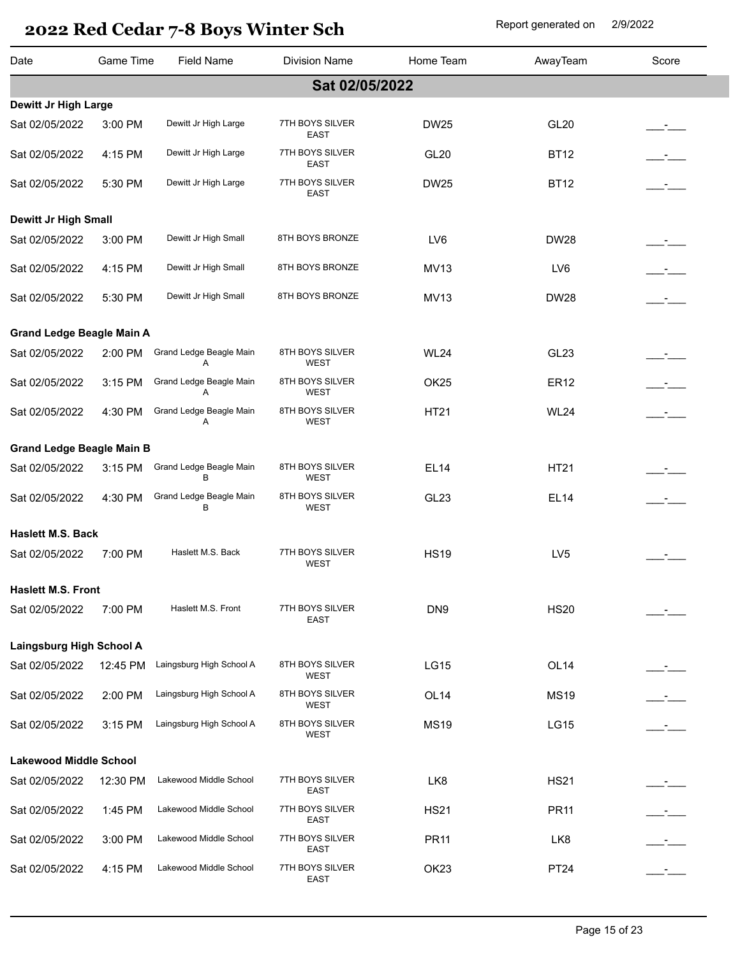| Date                             | Game Time | <b>Field Name</b>            | <b>Division Name</b>           | Home Team        | AwayTeam         | Score |
|----------------------------------|-----------|------------------------------|--------------------------------|------------------|------------------|-------|
|                                  |           |                              | Sat 02/05/2022                 |                  |                  |       |
| Dewitt Jr High Large             |           |                              |                                |                  |                  |       |
| Sat 02/05/2022                   | 3:00 PM   | Dewitt Jr High Large         | 7TH BOYS SILVER<br><b>EAST</b> | <b>DW25</b>      | <b>GL20</b>      |       |
| Sat 02/05/2022                   | 4:15 PM   | Dewitt Jr High Large         | 7TH BOYS SILVER<br>EAST        | <b>GL20</b>      | <b>BT12</b>      |       |
| Sat 02/05/2022                   | 5:30 PM   | Dewitt Jr High Large         | 7TH BOYS SILVER<br>EAST        | <b>DW25</b>      | <b>BT12</b>      |       |
| <b>Dewitt Jr High Small</b>      |           |                              |                                |                  |                  |       |
| Sat 02/05/2022                   | 3:00 PM   | Dewitt Jr High Small         | 8TH BOYS BRONZE                | LV6              | <b>DW28</b>      |       |
| Sat 02/05/2022                   | 4:15 PM   | Dewitt Jr High Small         | 8TH BOYS BRONZE                | <b>MV13</b>      | LV6              | $ -$  |
| Sat 02/05/2022                   | 5:30 PM   | Dewitt Jr High Small         | 8TH BOYS BRONZE                | <b>MV13</b>      | <b>DW28</b>      |       |
| <b>Grand Ledge Beagle Main A</b> |           |                              |                                |                  |                  |       |
| Sat 02/05/2022                   | 2:00 PM   | Grand Ledge Beagle Main<br>A | 8TH BOYS SILVER<br><b>WEST</b> | <b>WL24</b>      | GL <sub>23</sub> |       |
| Sat 02/05/2022                   | 3:15 PM   | Grand Ledge Beagle Main<br>A | 8TH BOYS SILVER<br><b>WEST</b> | OK <sub>25</sub> | <b>ER12</b>      |       |
| Sat 02/05/2022                   | 4:30 PM   | Grand Ledge Beagle Main<br>A | 8TH BOYS SILVER<br><b>WEST</b> | HT21             | <b>WL24</b>      |       |
| <b>Grand Ledge Beagle Main B</b> |           |                              |                                |                  |                  |       |
| Sat 02/05/2022                   | 3:15 PM   | Grand Ledge Beagle Main<br>В | 8TH BOYS SILVER<br>WEST        | <b>EL14</b>      | HT21             |       |
| Sat 02/05/2022                   | 4:30 PM   | Grand Ledge Beagle Main<br>в | 8TH BOYS SILVER<br><b>WEST</b> | GL <sub>23</sub> | <b>EL14</b>      |       |
| Haslett M.S. Back                |           |                              |                                |                  |                  |       |
| Sat 02/05/2022                   | 7:00 PM   | Haslett M.S. Back            | 7TH BOYS SILVER<br><b>WEST</b> | <b>HS19</b>      | LV <sub>5</sub>  |       |
| <b>Haslett M.S. Front</b>        |           |                              |                                |                  |                  |       |
| Sat 02/05/2022                   | 7:00 PM   | Haslett M.S. Front           | 7TH BOYS SILVER<br>EAST        | DN <sub>9</sub>  | <b>HS20</b>      |       |
| Laingsburg High School A         |           |                              |                                |                  |                  |       |
| Sat 02/05/2022                   | 12:45 PM  | Laingsburg High School A     | 8TH BOYS SILVER<br><b>WEST</b> | <b>LG15</b>      | OL <sub>14</sub> |       |
| Sat 02/05/2022                   | 2:00 PM   | Laingsburg High School A     | 8TH BOYS SILVER<br><b>WEST</b> | OL <sub>14</sub> | <b>MS19</b>      |       |
| Sat 02/05/2022                   | 3:15 PM   | Laingsburg High School A     | 8TH BOYS SILVER<br><b>WEST</b> | <b>MS19</b>      | <b>LG15</b>      |       |
| <b>Lakewood Middle School</b>    |           |                              |                                |                  |                  |       |
| Sat 02/05/2022                   | 12:30 PM  | Lakewood Middle School       | 7TH BOYS SILVER<br>EAST        | LK8              | <b>HS21</b>      |       |
| Sat 02/05/2022                   | 1:45 PM   | Lakewood Middle School       | 7TH BOYS SILVER<br><b>EAST</b> | <b>HS21</b>      | <b>PR11</b>      |       |
| Sat 02/05/2022                   | 3:00 PM   | Lakewood Middle School       | 7TH BOYS SILVER<br><b>EAST</b> | <b>PR11</b>      | LK8              |       |
| Sat 02/05/2022                   | 4:15 PM   | Lakewood Middle School       | 7TH BOYS SILVER<br><b>EAST</b> | OK <sub>23</sub> | PT24             |       |
|                                  |           |                              |                                |                  |                  |       |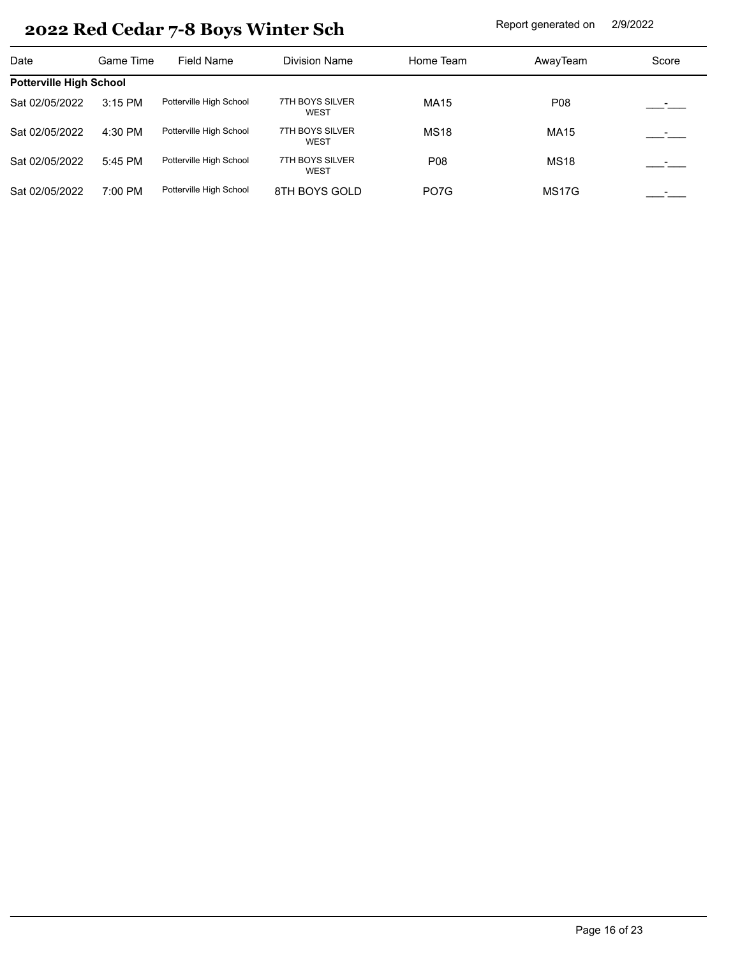| Date                           | Game Time | Field Name              | <b>Division Name</b>           | Home Team         | AwayTeam           | Score |
|--------------------------------|-----------|-------------------------|--------------------------------|-------------------|--------------------|-------|
| <b>Potterville High School</b> |           |                         |                                |                   |                    |       |
| Sat 02/05/2022                 | 3:15 PM   | Potterville High School | 7TH BOYS SILVER<br><b>WEST</b> | <b>MA15</b>       | P08                |       |
| Sat 02/05/2022                 | 4:30 PM   | Potterville High School | 7TH BOYS SILVER<br><b>WEST</b> | <b>MS18</b>       | <b>MA15</b>        |       |
| Sat 02/05/2022                 | 5:45 PM   | Potterville High School | 7TH BOYS SILVER<br><b>WEST</b> | P08               | <b>MS18</b>        |       |
| Sat 02/05/2022                 | 7:00 PM   | Potterville High School | 8TH BOYS GOLD                  | PO <sub>7</sub> G | MS <sub>17</sub> G |       |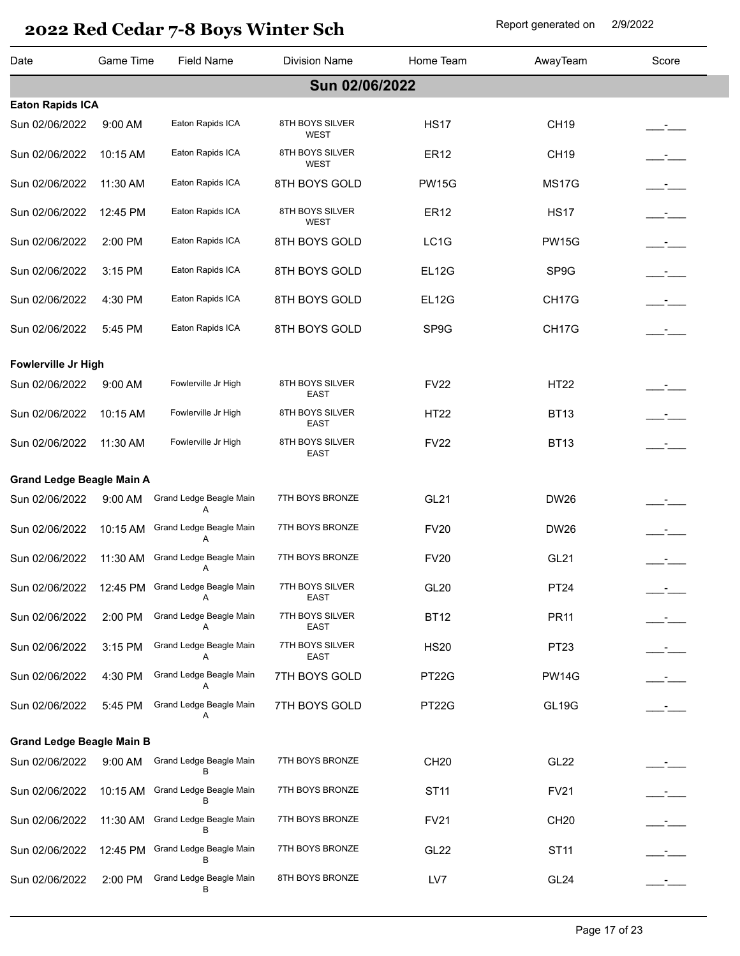| Date                             | Game Time         | <b>Field Name</b>                     | <b>Division Name</b>           | Home Team         | AwayTeam         | Score         |
|----------------------------------|-------------------|---------------------------------------|--------------------------------|-------------------|------------------|---------------|
|                                  |                   |                                       | Sun 02/06/2022                 |                   |                  |               |
| <b>Eaton Rapids ICA</b>          |                   |                                       |                                |                   |                  |               |
| Sun 02/06/2022                   | 9:00 AM           | Eaton Rapids ICA                      | 8TH BOYS SILVER<br><b>WEST</b> | <b>HS17</b>       | <b>CH19</b>      |               |
| Sun 02/06/2022                   | 10:15 AM          | Eaton Rapids ICA                      | 8TH BOYS SILVER<br>WEST        | <b>ER12</b>       | <b>CH19</b>      |               |
| Sun 02/06/2022                   | 11:30 AM          | Eaton Rapids ICA                      | 8TH BOYS GOLD                  | <b>PW15G</b>      | <b>MS17G</b>     | $ -$          |
| Sun 02/06/2022                   | 12:45 PM          | Eaton Rapids ICA                      | 8TH BOYS SILVER<br><b>WEST</b> | <b>ER12</b>       | <b>HS17</b>      | $\mathcal{L}$ |
| Sun 02/06/2022                   | 2:00 PM           | Eaton Rapids ICA                      | 8TH BOYS GOLD                  | LC <sub>1</sub> G | <b>PW15G</b>     | $ -$          |
| Sun 02/06/2022                   | 3:15 PM           | Eaton Rapids ICA                      | 8TH BOYS GOLD                  | <b>EL12G</b>      | SP9G             | $ -$          |
| Sun 02/06/2022                   | 4:30 PM           | Eaton Rapids ICA                      | 8TH BOYS GOLD                  | <b>EL12G</b>      | CH17G            |               |
| Sun 02/06/2022                   | 5:45 PM           | Eaton Rapids ICA                      | 8TH BOYS GOLD                  | SP9G              | CH17G            |               |
| Fowlerville Jr High              |                   |                                       |                                |                   |                  |               |
| Sun 02/06/2022                   | 9:00 AM           | Fowlerville Jr High                   | 8TH BOYS SILVER<br><b>EAST</b> | <b>FV22</b>       | <b>HT22</b>      |               |
| Sun 02/06/2022                   | 10:15 AM          | Fowlerville Jr High                   | 8TH BOYS SILVER<br><b>EAST</b> | <b>HT22</b>       | <b>BT13</b>      |               |
| Sun 02/06/2022                   | 11:30 AM          | Fowlerville Jr High                   | 8TH BOYS SILVER<br><b>EAST</b> | <b>FV22</b>       | <b>BT13</b>      |               |
| <b>Grand Ledge Beagle Main A</b> |                   |                                       |                                |                   |                  |               |
| Sun 02/06/2022                   | $9:00$ AM         | Grand Ledge Beagle Main<br>A          | 7TH BOYS BRONZE                | <b>GL21</b>       | <b>DW26</b>      |               |
| Sun 02/06/2022                   | 10:15 AM          | Grand Ledge Beagle Main<br>A          | 7TH BOYS BRONZE                | <b>FV20</b>       | <b>DW26</b>      |               |
| Sun 02/06/2022                   | 11:30 AM          | Grand Ledge Beagle Main<br>Α          | 7TH BOYS BRONZE                | <b>FV20</b>       | <b>GL21</b>      |               |
| Sun 02/06/2022                   |                   | 12:45 PM Grand Ledge Beagle Main<br>A | 7TH BOYS SILVER<br>EAST        | <b>GL20</b>       | <b>PT24</b>      |               |
| Sun 02/06/2022                   | 2:00 PM           | Grand Ledge Beagle Main<br>A          | 7TH BOYS SILVER<br>EAST        | <b>BT12</b>       | <b>PR11</b>      |               |
| Sun 02/06/2022                   | 3:15 PM           | Grand Ledge Beagle Main<br>A          | 7TH BOYS SILVER<br><b>EAST</b> | <b>HS20</b>       | PT23             | $ -$          |
| Sun 02/06/2022                   | 4:30 PM           | Grand Ledge Beagle Main<br>A          | 7TH BOYS GOLD                  | PT22G             | <b>PW14G</b>     | $ -$          |
| Sun 02/06/2022                   | 5:45 PM           | Grand Ledge Beagle Main               | 7TH BOYS GOLD                  | PT22G             | <b>GL19G</b>     |               |
| <b>Grand Ledge Beagle Main B</b> |                   |                                       |                                |                   |                  |               |
| Sun 02/06/2022                   | $9:00 \text{ AM}$ | Grand Ledge Beagle Main<br>B          | 7TH BOYS BRONZE                | CH <sub>20</sub>  | <b>GL22</b>      |               |
| Sun 02/06/2022                   | 10:15 AM          | Grand Ledge Beagle Main<br>В          | 7TH BOYS BRONZE                | <b>ST11</b>       | <b>FV21</b>      |               |
| Sun 02/06/2022                   | 11:30 AM          | Grand Ledge Beagle Main<br>в          | 7TH BOYS BRONZE                | <b>FV21</b>       | <b>CH20</b>      | $\mathcal{L}$ |
| Sun 02/06/2022                   | 12:45 PM          | Grand Ledge Beagle Main<br>в          | 7TH BOYS BRONZE                | GL <sub>22</sub>  | <b>ST11</b>      |               |
| Sun 02/06/2022                   | 2:00 PM           | Grand Ledge Beagle Main               | 8TH BOYS BRONZE                | LV7               | GL <sub>24</sub> |               |
|                                  |                   |                                       |                                |                   |                  |               |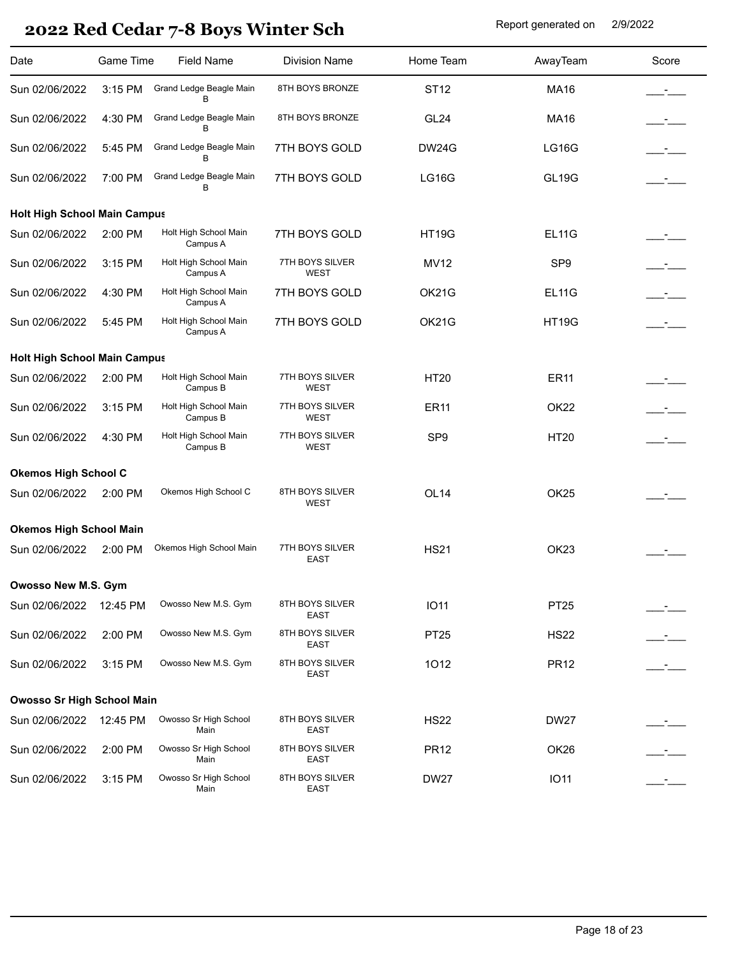| Date                                | Game Time | <b>Field Name</b>                 | <b>Division Name</b>           | Home Team        | AwayTeam         | Score        |
|-------------------------------------|-----------|-----------------------------------|--------------------------------|------------------|------------------|--------------|
| Sun 02/06/2022                      | 3:15 PM   | Grand Ledge Beagle Main<br>B      | 8TH BOYS BRONZE                | <b>ST12</b>      | <b>MA16</b>      |              |
| Sun 02/06/2022                      | 4:30 PM   | Grand Ledge Beagle Main<br>B      | 8TH BOYS BRONZE                | GL <sub>24</sub> | <b>MA16</b>      | $\mathbf{I}$ |
| Sun 02/06/2022                      | 5:45 PM   | Grand Ledge Beagle Main<br>В      | 7TH BOYS GOLD                  | <b>DW24G</b>     | LG16G            | $ -$         |
| Sun 02/06/2022                      | 7:00 PM   | Grand Ledge Beagle Main<br>B      | 7TH BOYS GOLD                  | <b>LG16G</b>     | <b>GL19G</b>     |              |
| <b>Holt High School Main Campus</b> |           |                                   |                                |                  |                  |              |
| Sun 02/06/2022                      | 2:00 PM   | Holt High School Main<br>Campus A | 7TH BOYS GOLD                  | <b>HT19G</b>     | <b>EL11G</b>     |              |
| Sun 02/06/2022                      | 3:15 PM   | Holt High School Main<br>Campus A | 7TH BOYS SILVER<br>WEST        | <b>MV12</b>      | SP <sub>9</sub>  | $ -$         |
| Sun 02/06/2022                      | 4:30 PM   | Holt High School Main<br>Campus A | 7TH BOYS GOLD                  | OK21G            | <b>EL11G</b>     | $\mathbf{r}$ |
| Sun 02/06/2022                      | 5:45 PM   | Holt High School Main<br>Campus A | 7TH BOYS GOLD                  | OK21G            | <b>HT19G</b>     |              |
| <b>Holt High School Main Campus</b> |           |                                   |                                |                  |                  |              |
| Sun 02/06/2022                      | 2:00 PM   | Holt High School Main<br>Campus B | 7TH BOYS SILVER<br>WEST        | <b>HT20</b>      | <b>ER11</b>      |              |
| Sun 02/06/2022                      | 3:15 PM   | Holt High School Main<br>Campus B | 7TH BOYS SILVER<br>WEST        | <b>ER11</b>      | OK <sub>22</sub> |              |
| Sun 02/06/2022                      | 4:30 PM   | Holt High School Main<br>Campus B | 7TH BOYS SILVER<br>WEST        | SP <sub>9</sub>  | <b>HT20</b>      |              |
| <b>Okemos High School C</b>         |           |                                   |                                |                  |                  |              |
| Sun 02/06/2022                      | 2:00 PM   | Okemos High School C              | 8TH BOYS SILVER<br>WEST        | OL <sub>14</sub> | OK <sub>25</sub> |              |
| <b>Okemos High School Main</b>      |           |                                   |                                |                  |                  |              |
| Sun 02/06/2022                      | 2:00 PM   | Okemos High School Main           | 7TH BOYS SILVER<br>EAST        | <b>HS21</b>      | OK <sub>23</sub> |              |
| Owosso New M.S. Gym                 |           |                                   |                                |                  |                  |              |
| Sun 02/06/2022                      | 12:45 PM  | Owosso New M.S. Gym               | 8TH BOYS SILVER<br><b>EAST</b> | <b>IO11</b>      | <b>PT25</b>      |              |
| Sun 02/06/2022                      | 2:00 PM   | Owosso New M.S. Gym               | 8TH BOYS SILVER<br>EAST        | PT25             | <b>HS22</b>      |              |
| Sun 02/06/2022                      | 3:15 PM   | Owosso New M.S. Gym               | 8TH BOYS SILVER<br><b>EAST</b> | 1012             | <b>PR12</b>      |              |
| <b>Owosso Sr High School Main</b>   |           |                                   |                                |                  |                  |              |
| Sun 02/06/2022                      | 12:45 PM  | Owosso Sr High School<br>Main     | 8TH BOYS SILVER<br>EAST        | <b>HS22</b>      | <b>DW27</b>      |              |
| Sun 02/06/2022                      | 2:00 PM   | Owosso Sr High School<br>Main     | 8TH BOYS SILVER<br>EAST        | <b>PR12</b>      | OK <sub>26</sub> |              |
| Sun 02/06/2022                      | 3:15 PM   | Owosso Sr High School<br>Main     | 8TH BOYS SILVER<br><b>EAST</b> | <b>DW27</b>      | <b>IO11</b>      |              |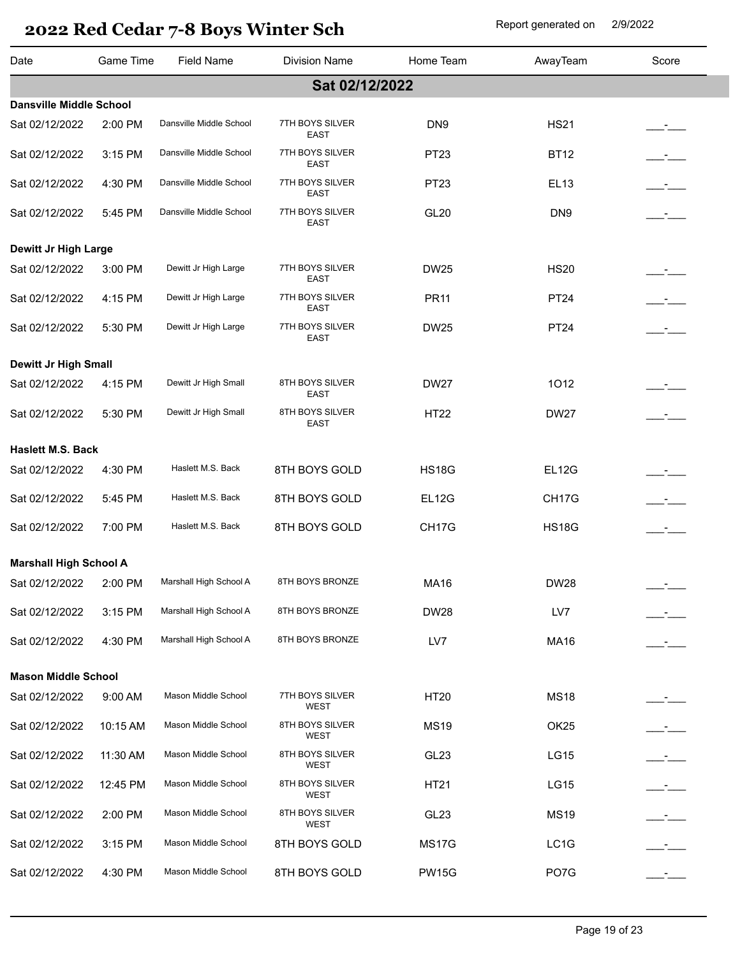| Date                           | Game Time | <b>Field Name</b>       | <b>Division Name</b>           | Home Team          | AwayTeam           | Score         |
|--------------------------------|-----------|-------------------------|--------------------------------|--------------------|--------------------|---------------|
|                                |           |                         | Sat 02/12/2022                 |                    |                    |               |
| <b>Dansville Middle School</b> |           |                         |                                |                    |                    |               |
| Sat 02/12/2022                 | 2:00 PM   | Dansville Middle School | 7TH BOYS SILVER<br>EAST        | DN <sub>9</sub>    | <b>HS21</b>        |               |
| Sat 02/12/2022                 | 3:15 PM   | Dansville Middle School | 7TH BOYS SILVER<br>EAST        | PT23               | <b>BT12</b>        |               |
| Sat 02/12/2022                 | 4:30 PM   | Dansville Middle School | 7TH BOYS SILVER<br>EAST        | PT23               | EL13               |               |
| Sat 02/12/2022                 | 5:45 PM   | Dansville Middle School | 7TH BOYS SILVER<br><b>EAST</b> | <b>GL20</b>        | DN <sub>9</sub>    |               |
| Dewitt Jr High Large           |           |                         |                                |                    |                    |               |
| Sat 02/12/2022                 | 3:00 PM   | Dewitt Jr High Large    | 7TH BOYS SILVER<br>EAST        | <b>DW25</b>        | <b>HS20</b>        |               |
| Sat 02/12/2022                 | 4:15 PM   | Dewitt Jr High Large    | 7TH BOYS SILVER<br>EAST        | <b>PR11</b>        | <b>PT24</b>        | $ -$          |
| Sat 02/12/2022                 | 5:30 PM   | Dewitt Jr High Large    | 7TH BOYS SILVER<br>EAST        | <b>DW25</b>        | <b>PT24</b>        |               |
| Dewitt Jr High Small           |           |                         |                                |                    |                    |               |
| Sat 02/12/2022                 | 4:15 PM   | Dewitt Jr High Small    | 8TH BOYS SILVER<br>EAST        | <b>DW27</b>        | 1012               |               |
| Sat 02/12/2022                 | 5:30 PM   | Dewitt Jr High Small    | 8TH BOYS SILVER<br>EAST        | <b>HT22</b>        | <b>DW27</b>        | $\mathcal{L}$ |
| <b>Haslett M.S. Back</b>       |           |                         |                                |                    |                    |               |
| Sat 02/12/2022                 | 4:30 PM   | Haslett M.S. Back       | 8TH BOYS GOLD                  | <b>HS18G</b>       | <b>EL12G</b>       |               |
| Sat 02/12/2022                 | 5:45 PM   | Haslett M.S. Back       | 8TH BOYS GOLD                  | EL <sub>12G</sub>  | CH <sub>17</sub> G |               |
|                                |           |                         |                                |                    |                    |               |
| Sat 02/12/2022                 | 7:00 PM   | Haslett M.S. Back       | 8TH BOYS GOLD                  | CH <sub>17</sub> G | <b>HS18G</b>       | $\mathcal{L}$ |
| <b>Marshall High School A</b>  |           |                         |                                |                    |                    |               |
| Sat 02/12/2022 2:00 PM         |           | Marshall High School A  | 8TH BOYS BRONZE                | <b>MA16</b>        | <b>DW28</b>        |               |
| Sat 02/12/2022                 | 3:15 PM   | Marshall High School A  | 8TH BOYS BRONZE                | <b>DW28</b>        | LV7                |               |
| Sat 02/12/2022                 | 4:30 PM   | Marshall High School A  | 8TH BOYS BRONZE                | LV7                | <b>MA16</b>        |               |
| <b>Mason Middle School</b>     |           |                         |                                |                    |                    |               |
| Sat 02/12/2022                 | 9:00 AM   | Mason Middle School     | 7TH BOYS SILVER<br>WEST        | HT20               | <b>MS18</b>        |               |
| Sat 02/12/2022                 | 10:15 AM  | Mason Middle School     | 8TH BOYS SILVER<br><b>WEST</b> | <b>MS19</b>        | OK <sub>25</sub>   |               |
| Sat 02/12/2022                 | 11:30 AM  | Mason Middle School     | 8TH BOYS SILVER<br>WEST        | GL <sub>23</sub>   | <b>LG15</b>        |               |
| Sat 02/12/2022                 | 12:45 PM  | Mason Middle School     | 8TH BOYS SILVER<br>WEST        | HT21               | LG15               |               |
| Sat 02/12/2022                 | 2:00 PM   | Mason Middle School     | 8TH BOYS SILVER<br>WEST        | GL <sub>23</sub>   | <b>MS19</b>        |               |
| Sat 02/12/2022                 | 3:15 PM   | Mason Middle School     | 8TH BOYS GOLD                  | <b>MS17G</b>       | LC1G               |               |
| Sat 02/12/2022                 | 4:30 PM   | Mason Middle School     | 8TH BOYS GOLD                  | <b>PW15G</b>       | PO7G               |               |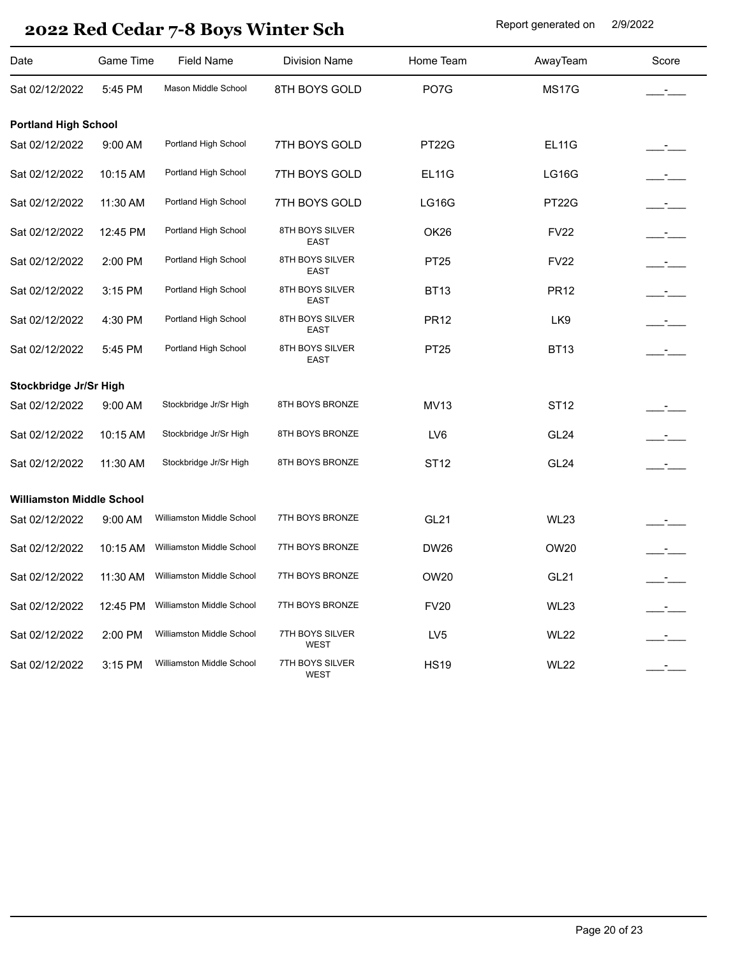| Date                             | Game Time | <b>Field Name</b>         | <b>Division Name</b>           | Home Team       | AwayTeam         | Score                    |
|----------------------------------|-----------|---------------------------|--------------------------------|-----------------|------------------|--------------------------|
| Sat 02/12/2022                   | 5:45 PM   | Mason Middle School       | 8TH BOYS GOLD                  | PO7G            | <b>MS17G</b>     | $\mathcal{L}$            |
| <b>Portland High School</b>      |           |                           |                                |                 |                  |                          |
| Sat 02/12/2022                   | 9:00 AM   | Portland High School      | 7TH BOYS GOLD                  | PT22G           | <b>EL11G</b>     |                          |
| Sat 02/12/2022                   | 10:15 AM  | Portland High School      | 7TH BOYS GOLD                  | <b>EL11G</b>    | <b>LG16G</b>     | $ -$                     |
| Sat 02/12/2022                   | 11:30 AM  | Portland High School      | 7TH BOYS GOLD                  | <b>LG16G</b>    | <b>PT22G</b>     | $ -$                     |
| Sat 02/12/2022                   | 12:45 PM  | Portland High School      | 8TH BOYS SILVER<br>EAST        | OK26            | <b>FV22</b>      | $ -$                     |
| Sat 02/12/2022                   | 2:00 PM   | Portland High School      | 8TH BOYS SILVER<br><b>EAST</b> | PT25            | <b>FV22</b>      | _____ <del>_</del> _____ |
| Sat 02/12/2022                   | 3:15 PM   | Portland High School      | 8TH BOYS SILVER<br><b>EAST</b> | <b>BT13</b>     | <b>PR12</b>      | $ -$                     |
| Sat 02/12/2022                   | 4:30 PM   | Portland High School      | 8TH BOYS SILVER<br><b>EAST</b> | <b>PR12</b>     | LK9              | $ -$                     |
| Sat 02/12/2022                   | 5:45 PM   | Portland High School      | 8TH BOYS SILVER<br><b>EAST</b> | PT25            | <b>BT13</b>      | $\mathbf{I}$             |
| Stockbridge Jr/Sr High           |           |                           |                                |                 |                  |                          |
| Sat 02/12/2022                   | 9:00 AM   | Stockbridge Jr/Sr High    | 8TH BOYS BRONZE                | <b>MV13</b>     | ST12             |                          |
| Sat 02/12/2022                   | 10:15 AM  | Stockbridge Jr/Sr High    | 8TH BOYS BRONZE                | LV6             | GL <sub>24</sub> |                          |
| Sat 02/12/2022                   | 11:30 AM  | Stockbridge Jr/Sr High    | 8TH BOYS BRONZE                | <b>ST12</b>     | GL <sub>24</sub> |                          |
| <b>Williamston Middle School</b> |           |                           |                                |                 |                  |                          |
| Sat 02/12/2022                   | 9:00 AM   | Williamston Middle School | 7TH BOYS BRONZE                | <b>GL21</b>     | <b>WL23</b>      |                          |
| Sat 02/12/2022                   | 10:15 AM  | Williamston Middle School | 7TH BOYS BRONZE                | <b>DW26</b>     | <b>OW20</b>      |                          |
| Sat 02/12/2022                   | 11:30 AM  | Williamston Middle School | 7TH BOYS BRONZE                | OW20            | <b>GL21</b>      |                          |
| Sat 02/12/2022                   | 12:45 PM  | Williamston Middle School | 7TH BOYS BRONZE                | <b>FV20</b>     | <b>WL23</b>      |                          |
| Sat 02/12/2022                   | 2:00 PM   | Williamston Middle School | 7TH BOYS SILVER<br>WEST        | LV <sub>5</sub> | <b>WL22</b>      |                          |
| Sat 02/12/2022                   | 3:15 PM   | Williamston Middle School | 7TH BOYS SILVER<br><b>WEST</b> | <b>HS19</b>     | <b>WL22</b>      |                          |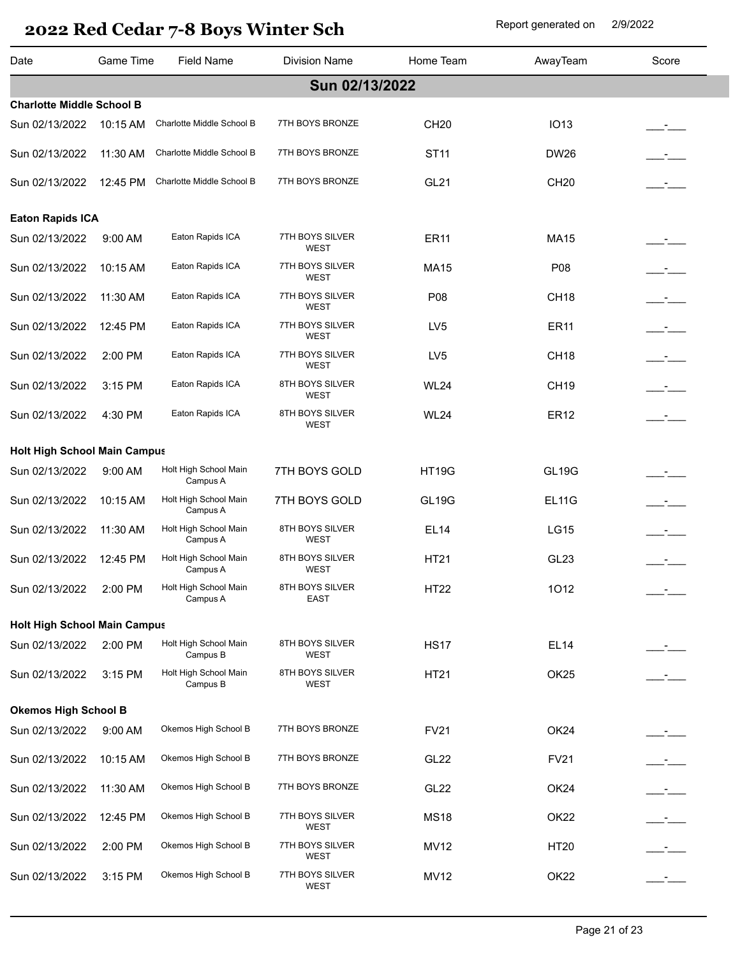| Date                                | <b>Game Time</b> | <b>Field Name</b>                 | <b>Division Name</b>           | Home Team        | AwayTeam         | Score     |
|-------------------------------------|------------------|-----------------------------------|--------------------------------|------------------|------------------|-----------|
|                                     |                  |                                   | Sun 02/13/2022                 |                  |                  |           |
| <b>Charlotte Middle School B</b>    |                  |                                   |                                |                  |                  |           |
| Sun 02/13/2022                      | 10:15 AM         | Charlotte Middle School B         | 7TH BOYS BRONZE                | CH20             | <b>IO13</b>      |           |
| Sun 02/13/2022                      | 11:30 AM         | Charlotte Middle School B         | 7TH BOYS BRONZE                | <b>ST11</b>      | <b>DW26</b>      |           |
| Sun 02/13/2022                      | 12:45 PM         | Charlotte Middle School B         | 7TH BOYS BRONZE                | <b>GL21</b>      | <b>CH20</b>      |           |
| <b>Eaton Rapids ICA</b>             |                  |                                   |                                |                  |                  |           |
| Sun 02/13/2022                      | 9:00 AM          | Eaton Rapids ICA                  | 7TH BOYS SILVER<br><b>WEST</b> | <b>ER11</b>      | <b>MA15</b>      |           |
| Sun 02/13/2022                      | 10:15 AM         | Eaton Rapids ICA                  | 7TH BOYS SILVER<br>WEST        | <b>MA15</b>      | P08              | $ -$      |
| Sun 02/13/2022                      | 11:30 AM         | Eaton Rapids ICA                  | 7TH BOYS SILVER<br><b>WEST</b> | P08              | CH <sub>18</sub> |           |
| Sun 02/13/2022                      | 12:45 PM         | Eaton Rapids ICA                  | 7TH BOYS SILVER<br><b>WEST</b> | LV <sub>5</sub>  | <b>ER11</b>      |           |
| Sun 02/13/2022                      | 2:00 PM          | Eaton Rapids ICA                  | 7TH BOYS SILVER<br><b>WEST</b> | LV <sub>5</sub>  | CH <sub>18</sub> |           |
| Sun 02/13/2022                      | 3:15 PM          | Eaton Rapids ICA                  | 8TH BOYS SILVER<br><b>WEST</b> | <b>WL24</b>      | <b>CH19</b>      |           |
| Sun 02/13/2022                      | 4:30 PM          | Eaton Rapids ICA                  | 8TH BOYS SILVER<br><b>WEST</b> | <b>WL24</b>      | <b>ER12</b>      |           |
| <b>Holt High School Main Campus</b> |                  |                                   |                                |                  |                  |           |
| Sun 02/13/2022                      | 9:00 AM          | Holt High School Main             | 7TH BOYS GOLD                  | <b>HT19G</b>     | <b>GL19G</b>     |           |
|                                     |                  | Campus A<br>Holt High School Main |                                |                  | <b>EL11G</b>     |           |
| Sun 02/13/2022                      | 10:15 AM         | Campus A                          | 7TH BOYS GOLD                  | <b>GL19G</b>     |                  |           |
| Sun 02/13/2022                      | 11:30 AM         | Holt High School Main<br>Campus A | 8TH BOYS SILVER<br><b>WEST</b> | <b>EL14</b>      | <b>LG15</b>      |           |
| Sun 02/13/2022                      | 12:45 PM         | Holt High School Main<br>Campus A | 8TH BOYS SILVER<br><b>WEST</b> | <b>HT21</b>      | GL <sub>23</sub> |           |
| Sun 02/13/2022                      | 2:00 PM          | Holt High School Main<br>Campus A | 8TH BOYS SILVER<br><b>EAST</b> | HT22             | 1012             |           |
| <b>Holt High School Main Campus</b> |                  |                                   |                                |                  |                  |           |
| Sun 02/13/2022                      | 2:00 PM          | Holt High School Main<br>Campus B | 8TH BOYS SILVER<br>WEST        | <b>HS17</b>      | EL14             |           |
| Sun 02/13/2022                      | 3:15 PM          | Holt High School Main<br>Campus B | 8TH BOYS SILVER<br><b>WEST</b> | HT21             | OK <sub>25</sub> |           |
| <b>Okemos High School B</b>         |                  |                                   |                                |                  |                  |           |
| Sun 02/13/2022                      | 9:00 AM          | Okemos High School B              | 7TH BOYS BRONZE                | <b>FV21</b>      | OK <sub>24</sub> | _-<br>——— |
| Sun 02/13/2022                      | 10:15 AM         | Okemos High School B              | 7TH BOYS BRONZE                | GL <sub>22</sub> | <b>FV21</b>      | $ -$      |
| Sun 02/13/2022                      | 11:30 AM         | Okemos High School B              | 7TH BOYS BRONZE                | GL <sub>22</sub> | OK <sub>24</sub> | $ -$      |
| Sun 02/13/2022                      | 12:45 PM         | Okemos High School B              | 7TH BOYS SILVER<br><b>WEST</b> | <b>MS18</b>      | OK <sub>22</sub> | $ -$      |
| Sun 02/13/2022                      | 2:00 PM          | Okemos High School B              | 7TH BOYS SILVER<br>WEST        | <b>MV12</b>      | <b>HT20</b>      | $ -$      |
| Sun 02/13/2022                      | 3:15 PM          | Okemos High School B              | 7TH BOYS SILVER<br>WEST        | <b>MV12</b>      | OK <sub>22</sub> |           |
|                                     |                  |                                   |                                |                  |                  |           |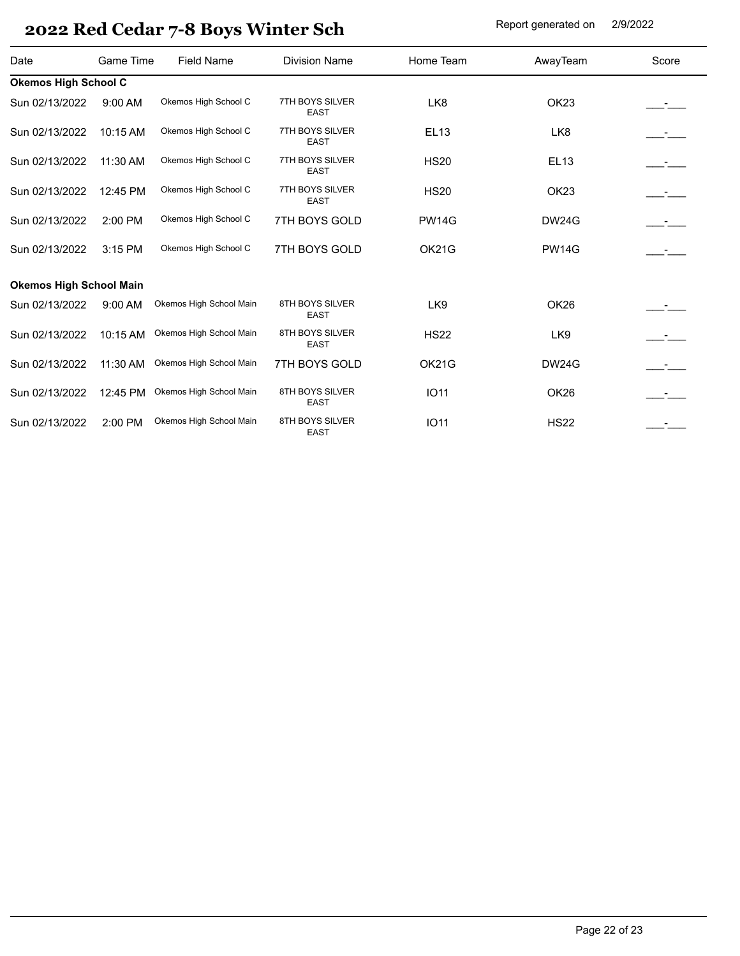| Date                           | Game Time | <b>Field Name</b>       | <b>Division Name</b>           | Home Team       | AwayTeam         | Score |
|--------------------------------|-----------|-------------------------|--------------------------------|-----------------|------------------|-------|
| <b>Okemos High School C</b>    |           |                         |                                |                 |                  |       |
| Sun 02/13/2022                 | $9:00$ AM | Okemos High School C    | 7TH BOYS SILVER<br><b>EAST</b> | LK8             | OK <sub>23</sub> |       |
| Sun 02/13/2022                 | 10:15 AM  | Okemos High School C    | 7TH BOYS SILVER<br><b>EAST</b> | <b>EL13</b>     | LK8              |       |
| Sun 02/13/2022                 | 11:30 AM  | Okemos High School C    | 7TH BOYS SILVER<br><b>EAST</b> | <b>HS20</b>     | <b>EL13</b>      | $ -$  |
| Sun 02/13/2022                 | 12:45 PM  | Okemos High School C    | 7TH BOYS SILVER<br><b>EAST</b> | <b>HS20</b>     | OK <sub>23</sub> | $ -$  |
| Sun 02/13/2022                 | 2:00 PM   | Okemos High School C    | 7TH BOYS GOLD                  | <b>PW14G</b>    | <b>DW24G</b>     | $ -$  |
| Sun 02/13/2022                 | 3:15 PM   | Okemos High School C    | 7TH BOYS GOLD                  | <b>OK21G</b>    | <b>PW14G</b>     |       |
| <b>Okemos High School Main</b> |           |                         |                                |                 |                  |       |
| Sun 02/13/2022                 | 9:00 AM   | Okemos High School Main | 8TH BOYS SILVER<br><b>EAST</b> | LK <sub>9</sub> | OK26             |       |
| Sun 02/13/2022                 | 10:15 AM  | Okemos High School Main | 8TH BOYS SILVER<br>EAST        | <b>HS22</b>     | LK9              |       |
| Sun 02/13/2022                 | 11:30 AM  | Okemos High School Main | 7TH BOYS GOLD                  | OK21G           | <b>DW24G</b>     | $ -$  |
| Sun 02/13/2022                 | 12:45 PM  | Okemos High School Main | 8TH BOYS SILVER<br><b>EAST</b> | <b>IO11</b>     | OK <sub>26</sub> | $ -$  |
| Sun 02/13/2022                 | 2:00 PM   | Okemos High School Main | 8TH BOYS SILVER<br><b>EAST</b> | <b>IO11</b>     | <b>HS22</b>      |       |